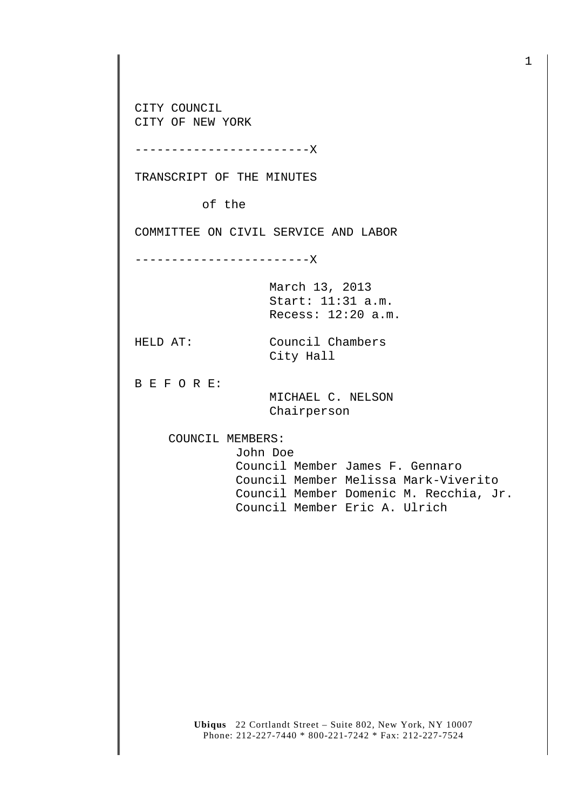CITY COUNCIL CITY OF NEW YORK

------------------------X

TRANSCRIPT OF THE MINUTES

of the

COMMITTEE ON CIVIL SERVICE AND LABOR

------------------------X

March 13, 2013 Start: 11:31 a.m. Recess: 12:20 a.m.

HELD AT: Council Chambers City Hall

B E F O R E:

 MICHAEL C. NELSON Chairperson

COUNCIL MEMBERS:

John Doe

 Council Member James F. Gennaro Council Member Melissa Mark-Viverito Council Member Domenic M. Recchia, Jr. Council Member Eric A. Ulrich

**Ubiqus** 22 Cortlandt Street – Suite 802, New York, NY 10007 Phone: 212-227-7440 \* 800-221-7242 \* Fax: 212-227-7524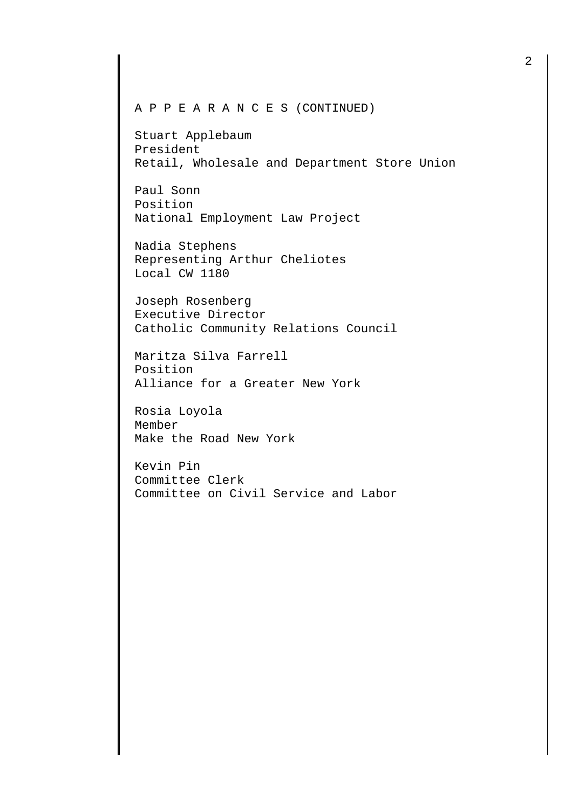## A P P E A R A N C E S (CONTINUED)

Stuart Applebaum President Retail, Wholesale and Department Store Union

Paul Sonn Position National Employment Law Project

Nadia Stephens Representing Arthur Cheliotes Local CW 1180

Joseph Rosenberg Executive Director Catholic Community Relations Council

Maritza Silva Farrell Position Alliance for a Greater New York

Rosia Loyola Member Make the Road New York

Kevin Pin Committee Clerk Committee on Civil Service and Labor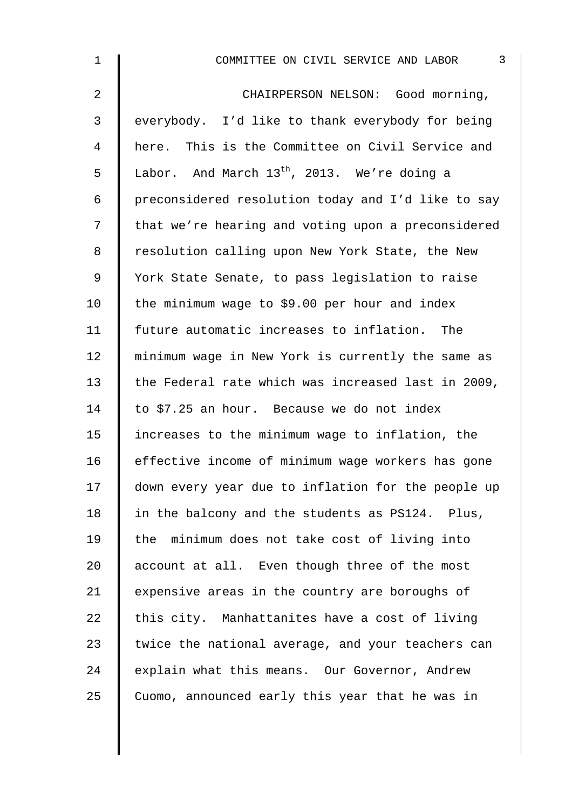| $\mathbf 1$ | 3<br>COMMITTEE ON CIVIL SERVICE AND LABOR          |
|-------------|----------------------------------------------------|
| 2           | CHAIRPERSON NELSON: Good morning,                  |
| 3           | everybody. I'd like to thank everybody for being   |
| 4           | here. This is the Committee on Civil Service and   |
| 5           | Labor. And March $13^{th}$ , 2013. We're doing a   |
| 6           | preconsidered resolution today and I'd like to say |
| 7           | that we're hearing and voting upon a preconsidered |
| 8           | resolution calling upon New York State, the New    |
| 9           | York State Senate, to pass legislation to raise    |
| 10          | the minimum wage to \$9.00 per hour and index      |
| 11          | future automatic increases to inflation. The       |
| 12          | minimum wage in New York is currently the same as  |
| 13          | the Federal rate which was increased last in 2009, |
| 14          | to \$7.25 an hour. Because we do not index         |
| 15          | increases to the minimum wage to inflation, the    |
| 16          | effective income of minimum wage workers has gone  |
| 17          | down every year due to inflation for the people up |
| 18          | in the balcony and the students as PS124. Plus,    |
| 19          | the minimum does not take cost of living into      |
| 20          | account at all. Even though three of the most      |
| 21          | expensive areas in the country are boroughs of     |
| 22          | this city. Manhattanites have a cost of living     |
| 23          | twice the national average, and your teachers can  |
| 24          | explain what this means. Our Governor, Andrew      |
| 25          | Cuomo, announced early this year that he was in    |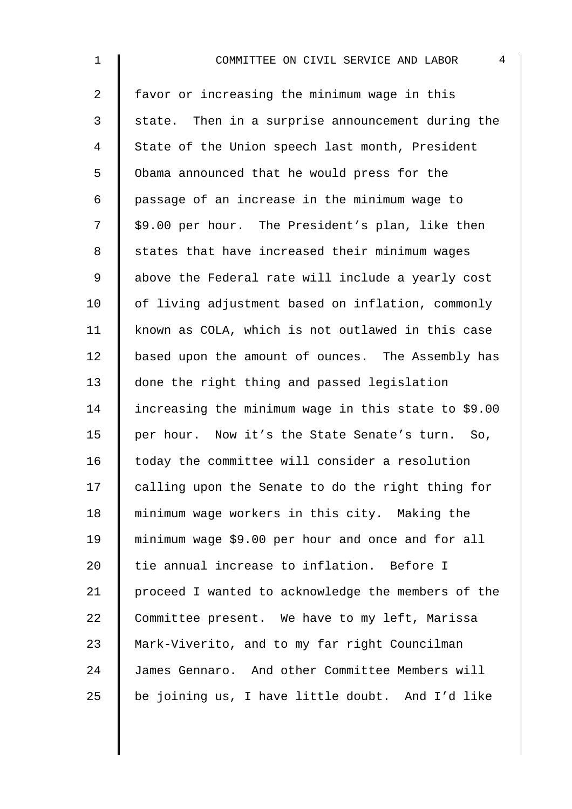| $\mathbf 1$    | $\overline{4}$<br>COMMITTEE ON CIVIL SERVICE AND LABOR |
|----------------|--------------------------------------------------------|
| $\overline{2}$ | favor or increasing the minimum wage in this           |
| $\mathfrak{Z}$ | state. Then in a surprise announcement during the      |
| $\overline{4}$ | State of the Union speech last month, President        |
| 5              | Obama announced that he would press for the            |
| 6              | passage of an increase in the minimum wage to          |
| 7              | \$9.00 per hour. The President's plan, like then       |
| 8              | states that have increased their minimum wages         |
| $\mathsf 9$    | above the Federal rate will include a yearly cost      |
| 10             | of living adjustment based on inflation, commonly      |
| 11             | known as COLA, which is not outlawed in this case      |
| 12             | based upon the amount of ounces. The Assembly has      |
| 13             | done the right thing and passed legislation            |
| 14             | increasing the minimum wage in this state to \$9.00    |
| 15             | per hour. Now it's the State Senate's turn. So,        |
| 16             | today the committee will consider a resolution         |
| 17             | calling upon the Senate to do the right thing for      |
| 18             | minimum wage workers in this city. Making the          |
| 19             | minimum wage \$9.00 per hour and once and for all      |
| 20             | tie annual increase to inflation. Before I             |
| 21             | proceed I wanted to acknowledge the members of the     |
| 22             | Committee present. We have to my left, Marissa         |
| 23             | Mark-Viverito, and to my far right Councilman          |
| 24             | James Gennaro. And other Committee Members will        |
| 25             | be joining us, I have little doubt. And I'd like       |
|                |                                                        |
|                |                                                        |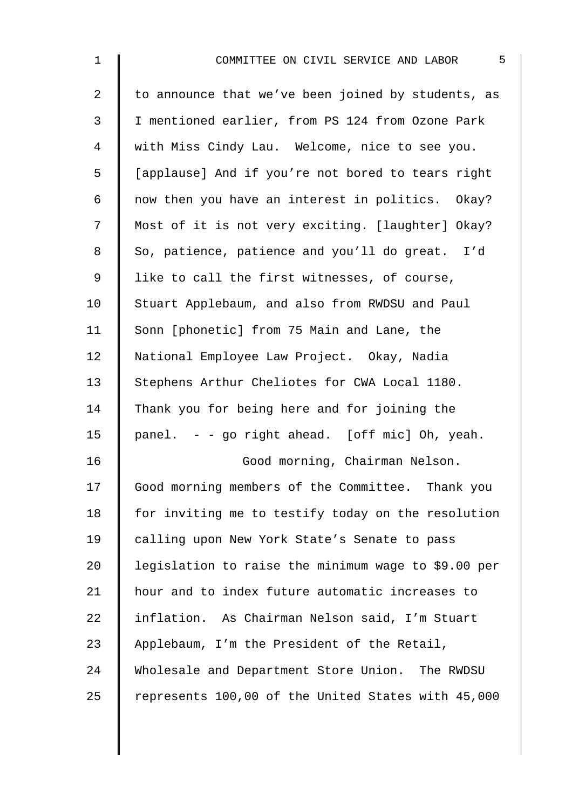| $\mathbf 1$    | 5<br>COMMITTEE ON CIVIL SERVICE AND LABOR           |
|----------------|-----------------------------------------------------|
| $\overline{2}$ | to announce that we've been joined by students, as  |
| 3              | I mentioned earlier, from PS 124 from Ozone Park    |
| $\overline{4}$ | with Miss Cindy Lau. Welcome, nice to see you.      |
| 5              | [applause] And if you're not bored to tears right   |
| 6              | now then you have an interest in politics. Okay?    |
| 7              | Most of it is not very exciting. [laughter] Okay?   |
| $\,8\,$        | So, patience, patience and you'll do great. I'd     |
| $\mathsf 9$    | like to call the first witnesses, of course,        |
| 10             | Stuart Applebaum, and also from RWDSU and Paul      |
| 11             | Sonn [phonetic] from 75 Main and Lane, the          |
| 12             | National Employee Law Project. Okay, Nadia          |
| 13             | Stephens Arthur Cheliotes for CWA Local 1180.       |
| 14             | Thank you for being here and for joining the        |
| 15             | panel. - - go right ahead. [off mic] Oh, yeah.      |
| 16             | Good morning, Chairman Nelson.                      |
| 17             | Good morning members of the Committee. Thank you    |
| 18             | for inviting me to testify today on the resolution  |
| 19             | calling upon New York State's Senate to pass        |
| 20             | legislation to raise the minimum wage to \$9.00 per |
| 21             | hour and to index future automatic increases to     |
| 22             | inflation. As Chairman Nelson said, I'm Stuart      |
| 23             | Applebaum, I'm the President of the Retail,         |
| 24             | Wholesale and Department Store Union. The RWDSU     |
| 25             | represents 100,00 of the United States with 45,000  |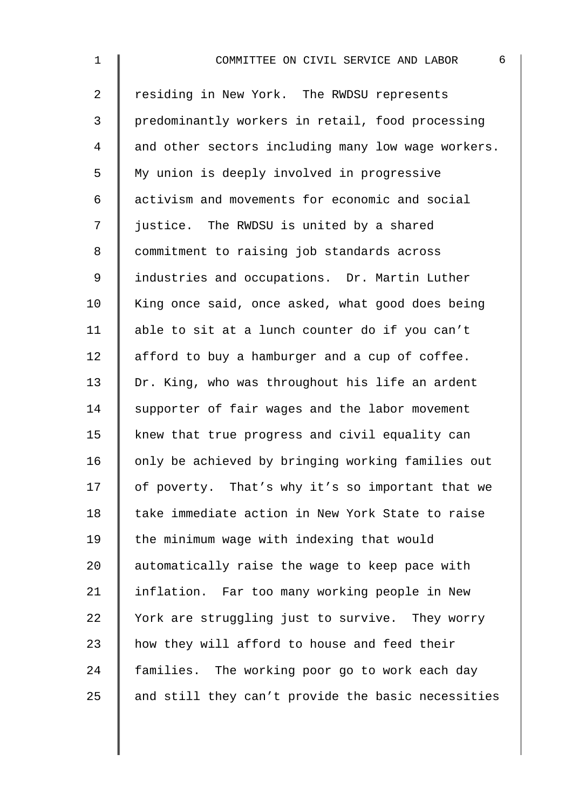| $\mathbf 1$    | 6<br>COMMITTEE ON CIVIL SERVICE AND LABOR          |
|----------------|----------------------------------------------------|
| $\overline{2}$ | residing in New York. The RWDSU represents         |
| 3              | predominantly workers in retail, food processing   |
| 4              | and other sectors including many low wage workers. |
| 5              | My union is deeply involved in progressive         |
| 6              | activism and movements for economic and social     |
| 7              | justice. The RWDSU is united by a shared           |
| 8              | commitment to raising job standards across         |
| 9              | industries and occupations. Dr. Martin Luther      |
| 10             | King once said, once asked, what good does being   |
| 11             | able to sit at a lunch counter do if you can't     |
| 12             | afford to buy a hamburger and a cup of coffee.     |
| 13             | Dr. King, who was throughout his life an ardent    |
| 14             | supporter of fair wages and the labor movement     |
| 15             | knew that true progress and civil equality can     |
| 16             | only be achieved by bringing working families out  |
| 17             | of poverty. That's why it's so important that we   |
| 18             | take immediate action in New York State to raise   |
| 19             | the minimum wage with indexing that would          |
| 20             | automatically raise the wage to keep pace with     |
| 21             | inflation. Far too many working people in New      |
| 22             | York are struggling just to survive. They worry    |
| 23             | how they will afford to house and feed their       |
| 24             | families. The working poor go to work each day     |
| 25             | and still they can't provide the basic necessities |
|                |                                                    |
|                |                                                    |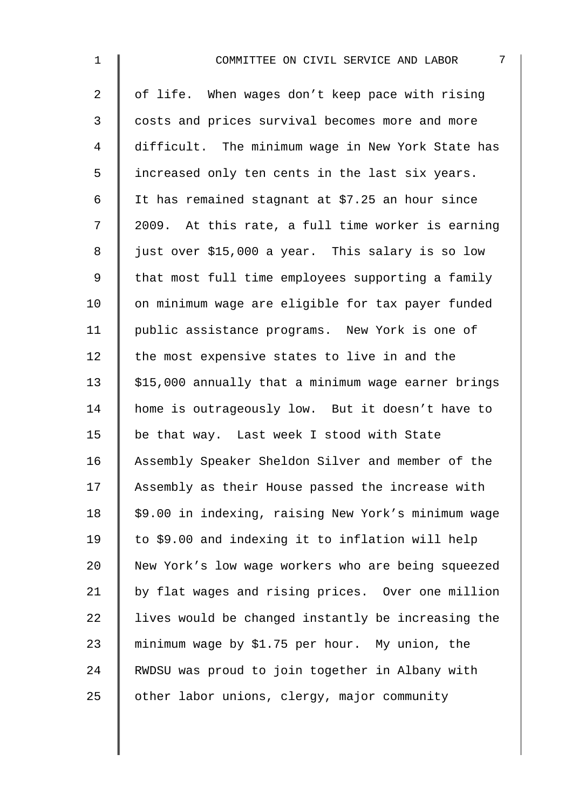| $\mathbf 1$    | 7<br>COMMITTEE ON CIVIL SERVICE AND LABOR           |
|----------------|-----------------------------------------------------|
| $\overline{a}$ | of life. When wages don't keep pace with rising     |
| $\mathfrak{Z}$ | costs and prices survival becomes more and more     |
| 4              | difficult. The minimum wage in New York State has   |
| 5              | increased only ten cents in the last six years.     |
| 6              | It has remained stagnant at \$7.25 an hour since    |
| 7              | 2009. At this rate, a full time worker is earning   |
| 8              | just over \$15,000 a year. This salary is so low    |
| $\mathsf 9$    | that most full time employees supporting a family   |
| 10             | on minimum wage are eligible for tax payer funded   |
| 11             | public assistance programs. New York is one of      |
| 12             | the most expensive states to live in and the        |
| 13             | \$15,000 annually that a minimum wage earner brings |
| 14             | home is outrageously low. But it doesn't have to    |
| 15             | be that way. Last week I stood with State           |
| 16             | Assembly Speaker Sheldon Silver and member of the   |
| 17             | Assembly as their House passed the increase with    |
| 18             | \$9.00 in indexing, raising New York's minimum wage |
| 19             | to \$9.00 and indexing it to inflation will help    |
| 20             | New York's low wage workers who are being squeezed  |
| 21             | by flat wages and rising prices. Over one million   |
| 22             | lives would be changed instantly be increasing the  |
| 23             | minimum wage by \$1.75 per hour. My union, the      |
| 24             | RWDSU was proud to join together in Albany with     |
| 25             | other labor unions, clergy, major community         |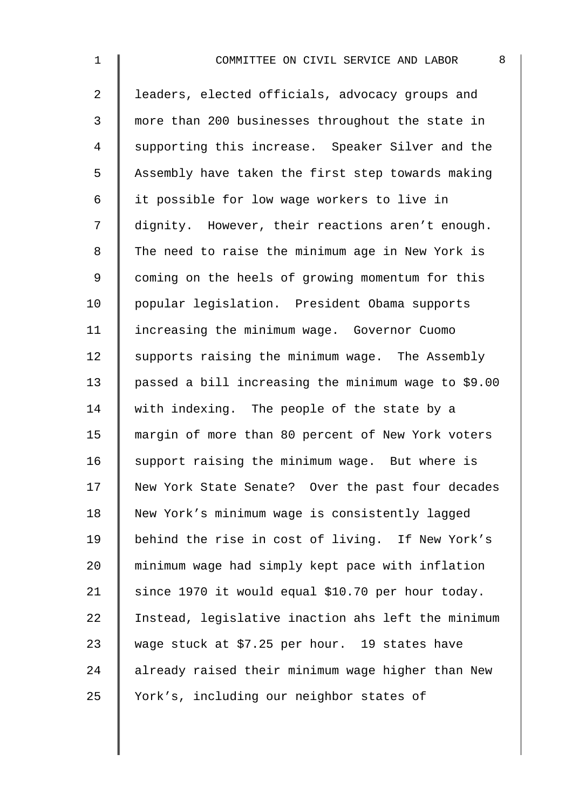| $\mathbf 1$    | 8<br>COMMITTEE ON CIVIL SERVICE AND LABOR           |
|----------------|-----------------------------------------------------|
| $\overline{a}$ | leaders, elected officials, advocacy groups and     |
| 3              | more than 200 businesses throughout the state in    |
| 4              | supporting this increase. Speaker Silver and the    |
| 5              | Assembly have taken the first step towards making   |
| 6              | it possible for low wage workers to live in         |
| 7              | dignity. However, their reactions aren't enough.    |
| 8              | The need to raise the minimum age in New York is    |
| $\mathsf 9$    | coming on the heels of growing momentum for this    |
| 10             | popular legislation. President Obama supports       |
| 11             | increasing the minimum wage. Governor Cuomo         |
| 12             | supports raising the minimum wage. The Assembly     |
| 13             | passed a bill increasing the minimum wage to \$9.00 |
| 14             | with indexing. The people of the state by a         |
| 15             | margin of more than 80 percent of New York voters   |
| 16             | support raising the minimum wage. But where is      |
| 17             | New York State Senate? Over the past four decades   |
| 18             | New York's minimum wage is consistently lagged      |
| 19             | behind the rise in cost of living. If New York's    |
| 20             | minimum wage had simply kept pace with inflation    |
| 21             | since 1970 it would equal \$10.70 per hour today.   |
| 22             | Instead, legislative inaction ahs left the minimum  |
| 23             | wage stuck at \$7.25 per hour. 19 states have       |
| 24             | already raised their minimum wage higher than New   |
| 25             | York's, including our neighbor states of            |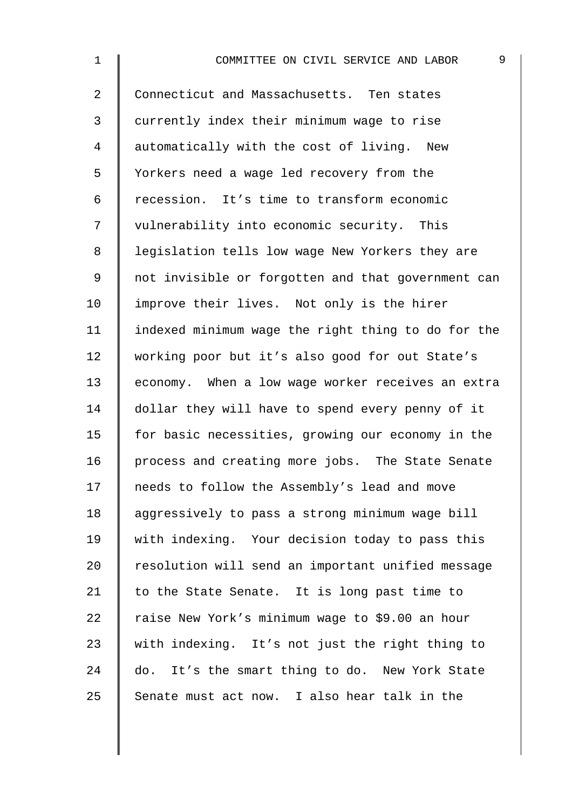| $\mathbf 1$    | 9<br>COMMITTEE ON CIVIL SERVICE AND LABOR          |
|----------------|----------------------------------------------------|
| $\overline{2}$ | Connecticut and Massachusetts. Ten states          |
| 3              | currently index their minimum wage to rise         |
| 4              | automatically with the cost of living. New         |
| 5              | Yorkers need a wage led recovery from the          |
| 6              | recession. It's time to transform economic         |
| 7              | vulnerability into economic security. This         |
| 8              | legislation tells low wage New Yorkers they are    |
| 9              | not invisible or forgotten and that government can |
| 10             | improve their lives. Not only is the hirer         |
| 11             | indexed minimum wage the right thing to do for the |
| 12             | working poor but it's also good for out State's    |
| 13             | economy. When a low wage worker receives an extra  |
| 14             | dollar they will have to spend every penny of it   |
| 15             | for basic necessities, growing our economy in the  |
| 16             | process and creating more jobs. The State Senate   |
| 17             | needs to follow the Assembly's lead and move       |
| 18             | aggressively to pass a strong minimum wage bill    |
| 19             | with indexing. Your decision today to pass this    |
| 20             | resolution will send an important unified message  |
| 21             | to the State Senate. It is long past time to       |
| 22             | raise New York's minimum wage to \$9.00 an hour    |
| 23             | with indexing. It's not just the right thing to    |
| 24             | do. It's the smart thing to do. New York State     |
| 25             | Senate must act now. I also hear talk in the       |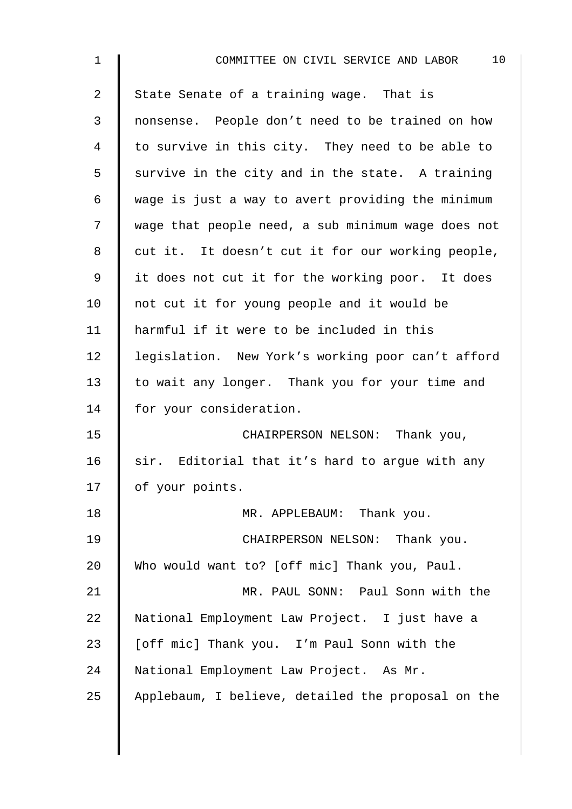| $\mathbf 1$    | 10<br>COMMITTEE ON CIVIL SERVICE AND LABOR         |
|----------------|----------------------------------------------------|
| $\overline{2}$ | State Senate of a training wage. That is           |
| $\mathbf{3}$   | nonsense. People don't need to be trained on how   |
| $\overline{4}$ | to survive in this city. They need to be able to   |
| 5              | survive in the city and in the state. A training   |
| 6              | wage is just a way to avert providing the minimum  |
| 7              | wage that people need, a sub minimum wage does not |
| 8              | cut it. It doesn't cut it for our working people,  |
| 9              | it does not cut it for the working poor. It does   |
| 10             | not cut it for young people and it would be        |
| 11             | harmful if it were to be included in this          |
| 12             | legislation. New York's working poor can't afford  |
| 13             | to wait any longer. Thank you for your time and    |
| 14             | for your consideration.                            |
| 15             | CHAIRPERSON NELSON: Thank you,                     |
| 16             | sir. Editorial that it's hard to argue with any    |
| 17             | of your points.                                    |
| 18             | MR. APPLEBAUM: Thank you.                          |
| 19             | CHAIRPERSON NELSON: Thank you.                     |
| 20             | Who would want to? [off mic] Thank you, Paul.      |
| 21             | MR. PAUL SONN: Paul Sonn with the                  |
| 22             | National Employment Law Project. I just have a     |
| 23             | [off mic] Thank you. I'm Paul Sonn with the        |
| 24             | National Employment Law Project. As Mr.            |
| 25             | Applebaum, I believe, detailed the proposal on the |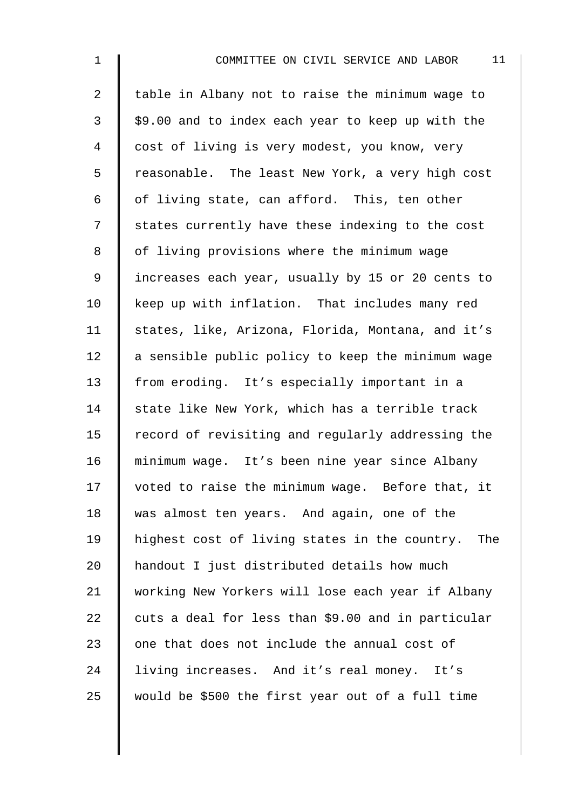| $\mathbf 1$    | 11<br>COMMITTEE ON CIVIL SERVICE AND LABOR         |
|----------------|----------------------------------------------------|
| $\overline{a}$ | table in Albany not to raise the minimum wage to   |
| $\mathfrak{Z}$ | \$9.00 and to index each year to keep up with the  |
| 4              | cost of living is very modest, you know, very      |
| 5              | reasonable. The least New York, a very high cost   |
| 6              | of living state, can afford. This, ten other       |
| 7              | states currently have these indexing to the cost   |
| 8              | of living provisions where the minimum wage        |
| 9              | increases each year, usually by 15 or 20 cents to  |
| 10             | keep up with inflation. That includes many red     |
| 11             | states, like, Arizona, Florida, Montana, and it's  |
| 12             | a sensible public policy to keep the minimum wage  |
| 13             | from eroding. It's especially important in a       |
| 14             | state like New York, which has a terrible track    |
| 15             | record of revisiting and regularly addressing the  |
| 16             | minimum wage. It's been nine year since Albany     |
| 17             | voted to raise the minimum wage. Before that, it   |
| 18             | was almost ten years. And again, one of the        |
| 19             | highest cost of living states in the country. The  |
| 20             | handout I just distributed details how much        |
| 21             | working New Yorkers will lose each year if Albany  |
| 22             | cuts a deal for less than \$9.00 and in particular |
| 23             | one that does not include the annual cost of       |
| 24             | living increases. And it's real money. It's        |
| 25             | would be \$500 the first year out of a full time   |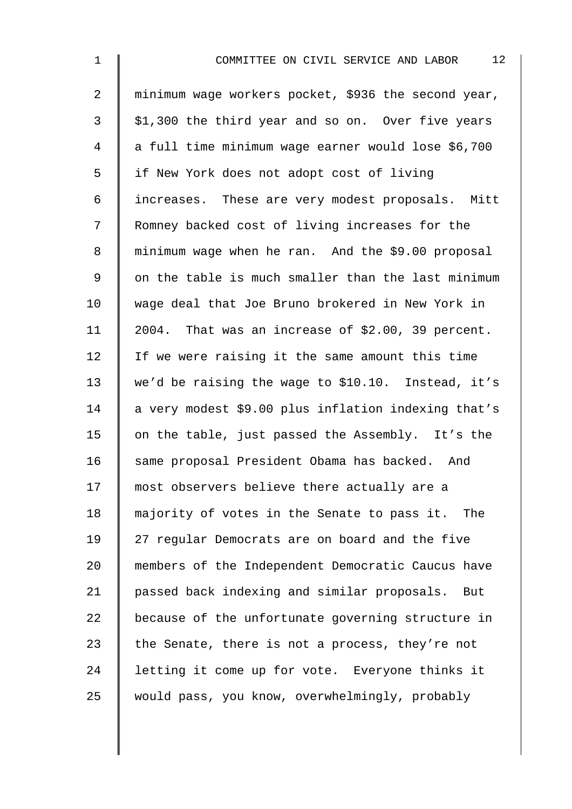| $\mathbf 1$    | 12<br>COMMITTEE ON CIVIL SERVICE AND LABOR          |
|----------------|-----------------------------------------------------|
| $\overline{a}$ | minimum wage workers pocket, \$936 the second year, |
| $\mathfrak{Z}$ | \$1,300 the third year and so on. Over five years   |
| 4              | a full time minimum wage earner would lose \$6,700  |
| 5              | if New York does not adopt cost of living           |
| 6              | increases. These are very modest proposals. Mitt    |
| 7              | Romney backed cost of living increases for the      |
| 8              | minimum wage when he ran. And the \$9.00 proposal   |
| 9              | on the table is much smaller than the last minimum  |
| 10             | wage deal that Joe Bruno brokered in New York in    |
| 11             | 2004. That was an increase of \$2.00, 39 percent.   |
| 12             | If we were raising it the same amount this time     |
| 13             | we'd be raising the wage to \$10.10. Instead, it's  |
| 14             | a very modest \$9.00 plus inflation indexing that's |
| 15             | on the table, just passed the Assembly. It's the    |
| 16             | same proposal President Obama has backed. And       |
| 17             | most observers believe there actually are a         |
| 18             | majority of votes in the Senate to pass it. The     |
| 19             | 27 regular Democrats are on board and the five      |
| 20             | members of the Independent Democratic Caucus have   |
| 21             | passed back indexing and similar proposals. But     |
| 22             | because of the unfortunate governing structure in   |
| 23             | the Senate, there is not a process, they're not     |
| 24             | letting it come up for vote. Everyone thinks it     |
| 25             | would pass, you know, overwhelmingly, probably      |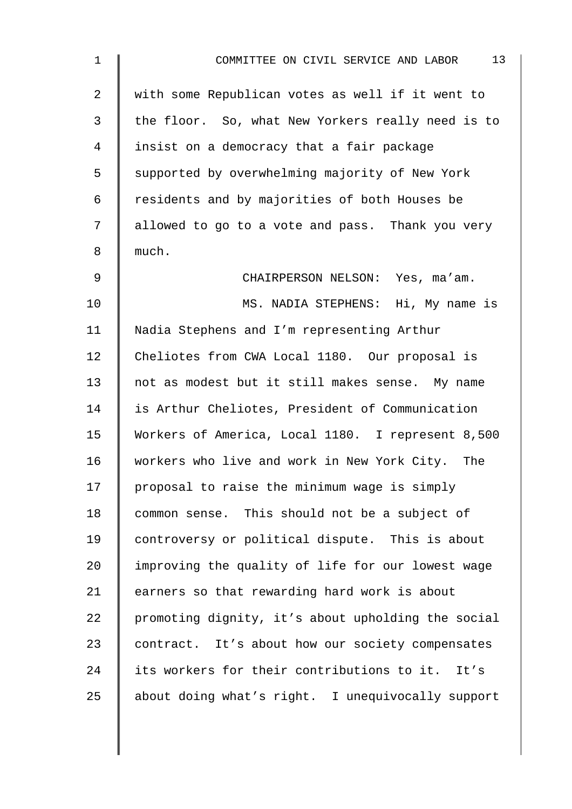| $\mathbf 1$    | 13<br>COMMITTEE ON CIVIL SERVICE AND LABOR         |
|----------------|----------------------------------------------------|
| $\overline{a}$ | with some Republican votes as well if it went to   |
| 3              | the floor. So, what New Yorkers really need is to  |
| 4              | insist on a democracy that a fair package          |
| 5              | supported by overwhelming majority of New York     |
| 6              | residents and by majorities of both Houses be      |
| 7              | allowed to go to a vote and pass. Thank you very   |
| 8              | much.                                              |
| $\mathsf 9$    | CHAIRPERSON NELSON: Yes, ma'am.                    |
| 10             | MS. NADIA STEPHENS: Hi, My name is                 |
| 11             | Nadia Stephens and I'm representing Arthur         |
| 12             | Cheliotes from CWA Local 1180. Our proposal is     |
| 13             | not as modest but it still makes sense. My name    |
| 14             | is Arthur Cheliotes, President of Communication    |
| 15             | Workers of America, Local 1180. I represent 8,500  |
| 16             | workers who live and work in New York City. The    |
| 17             | proposal to raise the minimum wage is simply       |
| 18             | common sense. This should not be a subject of      |
| 19             | controversy or political dispute. This is about    |
| 20             | improving the quality of life for our lowest wage  |
| 21             | earners so that rewarding hard work is about       |
| 22             | promoting dignity, it's about upholding the social |
| 23             | contract. It's about how our society compensates   |
| 24             | its workers for their contributions to it. It's    |
| 25             | about doing what's right. I unequivocally support  |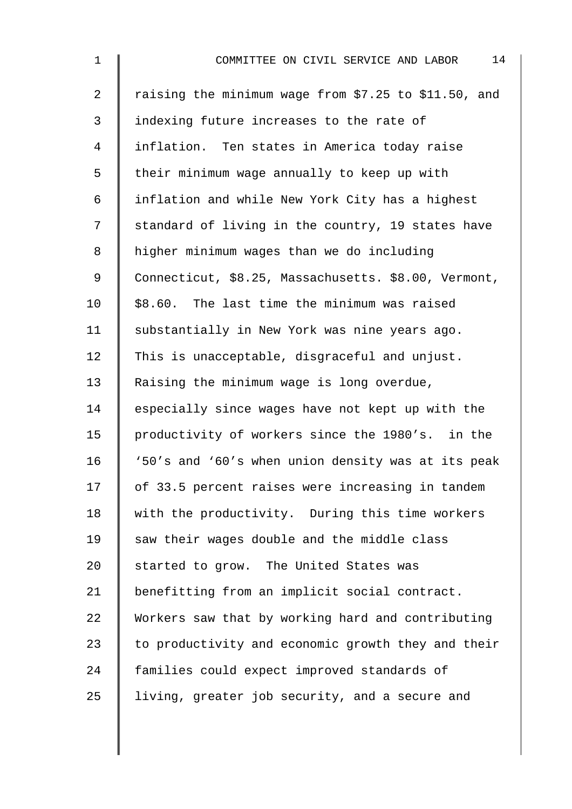| $\mathbf 1$    | 14<br>COMMITTEE ON CIVIL SERVICE AND LABOR           |
|----------------|------------------------------------------------------|
| $\overline{2}$ | raising the minimum wage from \$7.25 to \$11.50, and |
| $\mathfrak{Z}$ | indexing future increases to the rate of             |
| $\overline{4}$ | inflation. Ten states in America today raise         |
| 5              | their minimum wage annually to keep up with          |
| 6              | inflation and while New York City has a highest      |
| 7              | standard of living in the country, 19 states have    |
| 8              | higher minimum wages than we do including            |
| 9              | Connecticut, \$8.25, Massachusetts. \$8.00, Vermont, |
| 10             | \$8.60. The last time the minimum was raised         |
| 11             | substantially in New York was nine years ago.        |
| 12             | This is unacceptable, disgraceful and unjust.        |
| 13             | Raising the minimum wage is long overdue,            |
| 14             | especially since wages have not kept up with the     |
| 15             | productivity of workers since the 1980's. in the     |
| 16             | '50's and '60's when union density was at its peak   |
| 17             | of 33.5 percent raises were increasing in tandem     |
| 18             | with the productivity. During this time workers      |
| 19             | saw their wages double and the middle class          |
| 20             | started to grow. The United States was               |
| 21             | benefitting from an implicit social contract.        |
| 22             | Workers saw that by working hard and contributing    |
| 23             | to productivity and economic growth they and their   |
| 24             | families could expect improved standards of          |
| 25             | living, greater job security, and a secure and       |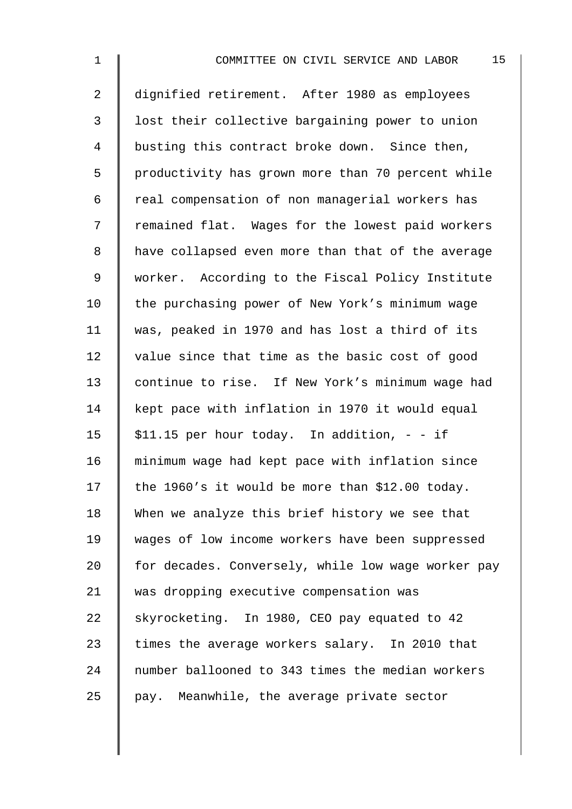| $\mathbf 1$    | 15<br>COMMITTEE ON CIVIL SERVICE AND LABOR         |
|----------------|----------------------------------------------------|
| $\overline{2}$ | dignified retirement. After 1980 as employees      |
| 3              | lost their collective bargaining power to union    |
| 4              | busting this contract broke down. Since then,      |
| 5              | productivity has grown more than 70 percent while  |
| 6              | real compensation of non managerial workers has    |
| 7              | remained flat. Wages for the lowest paid workers   |
| 8              | have collapsed even more than that of the average  |
| 9              | worker. According to the Fiscal Policy Institute   |
| 10             | the purchasing power of New York's minimum wage    |
| 11             | was, peaked in 1970 and has lost a third of its    |
| 12             | value since that time as the basic cost of good    |
| 13             | continue to rise. If New York's minimum wage had   |
| 14             | kept pace with inflation in 1970 it would equal    |
| 15             | \$11.15 per hour today. In addition, - - if        |
| 16             | minimum wage had kept pace with inflation since    |
| 17             | the 1960's it would be more than \$12.00 today.    |
| 18             | When we analyze this brief history we see that     |
| 19             | wages of low income workers have been suppressed   |
| 20             | for decades. Conversely, while low wage worker pay |
| 21             | was dropping executive compensation was            |
| 22             | skyrocketing. In 1980, CEO pay equated to 42       |
| 23             | times the average workers salary. In 2010 that     |
| 24             | number ballooned to 343 times the median workers   |
| 25             | pay. Meanwhile, the average private sector         |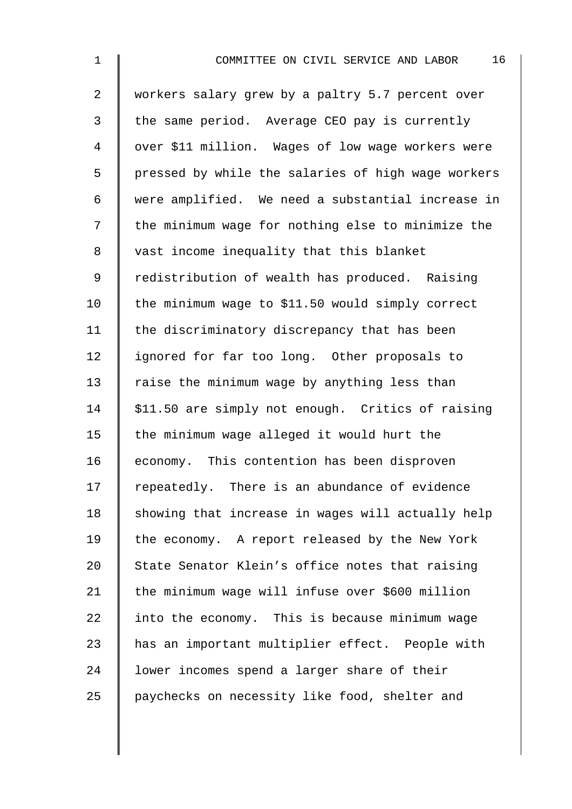| $\mathbf 1$    | 16<br>COMMITTEE ON CIVIL SERVICE AND LABOR         |
|----------------|----------------------------------------------------|
| $\overline{2}$ | workers salary grew by a paltry 5.7 percent over   |
| 3              | the same period. Average CEO pay is currently      |
| 4              | over \$11 million. Wages of low wage workers were  |
| 5              | pressed by while the salaries of high wage workers |
| 6              | were amplified. We need a substantial increase in  |
| 7              | the minimum wage for nothing else to minimize the  |
| 8              | vast income inequality that this blanket           |
| 9              | redistribution of wealth has produced. Raising     |
| 10             | the minimum wage to \$11.50 would simply correct   |
| 11             | the discriminatory discrepancy that has been       |
| 12             | ignored for far too long. Other proposals to       |
| 13             | raise the minimum wage by anything less than       |
| 14             | \$11.50 are simply not enough. Critics of raising  |
| 15             | the minimum wage alleged it would hurt the         |
| 16             | economy. This contention has been disproven        |
| 17             | repeatedly. There is an abundance of evidence      |
| 18             | showing that increase in wages will actually help  |
| 19             | the economy. A report released by the New York     |
| 20             | State Senator Klein's office notes that raising    |
| 21             | the minimum wage will infuse over \$600 million    |
| 22             | into the economy. This is because minimum wage     |
| 23             | has an important multiplier effect. People with    |
| 24             | lower incomes spend a larger share of their        |
| 25             | paychecks on necessity like food, shelter and      |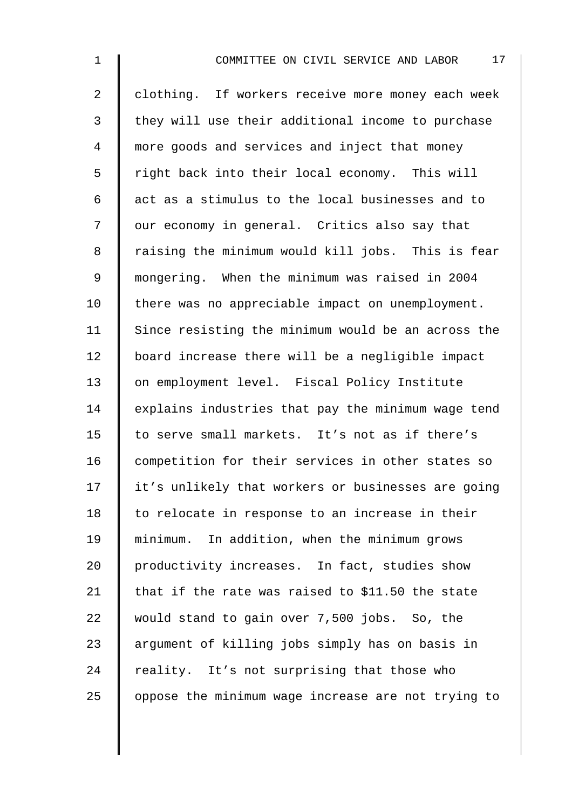| $\mathbf 1$    | 17<br>COMMITTEE ON CIVIL SERVICE AND LABOR         |
|----------------|----------------------------------------------------|
| $\overline{2}$ | clothing. If workers receive more money each week  |
| $\mathfrak{Z}$ | they will use their additional income to purchase  |
| 4              | more goods and services and inject that money      |
| 5              | right back into their local economy. This will     |
| 6              | act as a stimulus to the local businesses and to   |
| 7              | our economy in general. Critics also say that      |
| 8              | raising the minimum would kill jobs. This is fear  |
| 9              | mongering. When the minimum was raised in 2004     |
| 10             | there was no appreciable impact on unemployment.   |
| 11             | Since resisting the minimum would be an across the |
| 12             | board increase there will be a negligible impact   |
| 13             | on employment level. Fiscal Policy Institute       |
| 14             | explains industries that pay the minimum wage tend |
| 15             | to serve small markets. It's not as if there's     |
| 16             | competition for their services in other states so  |
| 17             | it's unlikely that workers or businesses are going |
| 18             | to relocate in response to an increase in their    |
| 19             | minimum. In addition, when the minimum grows       |
| 20             | productivity increases. In fact, studies show      |
| 21             | that if the rate was raised to \$11.50 the state   |
| 22             | would stand to gain over 7,500 jobs. So, the       |
| 23             | argument of killing jobs simply has on basis in    |
| 24             | reality. It's not surprising that those who        |
| 25             | oppose the minimum wage increase are not trying to |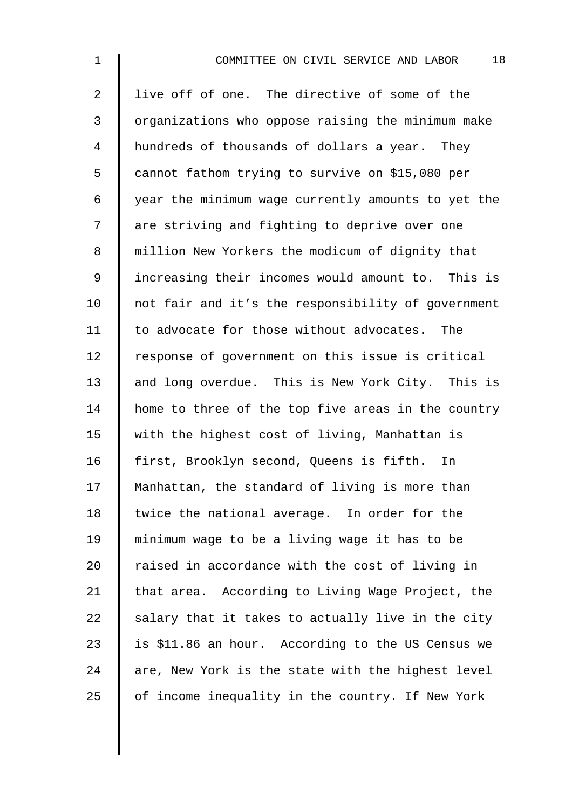| $\mathbf 1$    | 18<br>COMMITTEE ON CIVIL SERVICE AND LABOR         |
|----------------|----------------------------------------------------|
| $\overline{2}$ | live off of one. The directive of some of the      |
| $\mathfrak{Z}$ | organizations who oppose raising the minimum make  |
| 4              | hundreds of thousands of dollars a year. They      |
| 5              | cannot fathom trying to survive on \$15,080 per    |
| 6              | year the minimum wage currently amounts to yet the |
| 7              | are striving and fighting to deprive over one      |
| 8              | million New Yorkers the modicum of dignity that    |
| 9              | increasing their incomes would amount to. This is  |
| 10             | not fair and it's the responsibility of government |
| 11             | to advocate for those without advocates. The       |
| 12             | response of government on this issue is critical   |
| 13             | and long overdue. This is New York City. This is   |
| 14             | home to three of the top five areas in the country |
| 15             | with the highest cost of living, Manhattan is      |
| 16             | first, Brooklyn second, Queens is fifth.<br>In     |
| 17             | Manhattan, the standard of living is more than     |
| 18             | twice the national average. In order for the       |
| 19             | minimum wage to be a living wage it has to be      |
| 20             | raised in accordance with the cost of living in    |
| 21             | that area. According to Living Wage Project, the   |
| 22             | salary that it takes to actually live in the city  |
| 23             | is \$11.86 an hour. According to the US Census we  |
| 24             | are, New York is the state with the highest level  |
| 25             | of income inequality in the country. If New York   |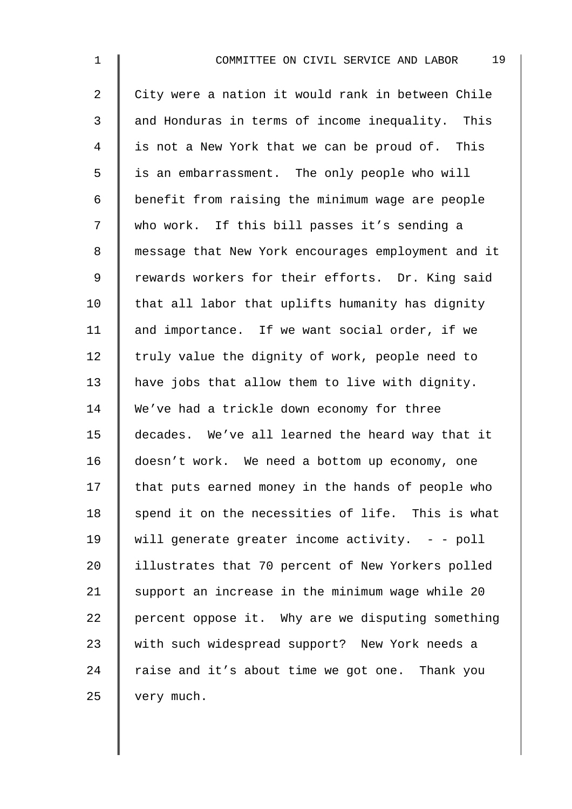| $\mathbf{1}$   | 19<br>COMMITTEE ON CIVIL SERVICE AND LABOR         |
|----------------|----------------------------------------------------|
| $\overline{2}$ | City were a nation it would rank in between Chile  |
| 3              | and Honduras in terms of income inequality. This   |
| 4              | is not a New York that we can be proud of. This    |
| 5              | is an embarrassment. The only people who will      |
| 6              | benefit from raising the minimum wage are people   |
| 7              | who work. If this bill passes it's sending a       |
| 8              | message that New York encourages employment and it |
| 9              | rewards workers for their efforts. Dr. King said   |
| 10             | that all labor that uplifts humanity has dignity   |
| 11             | and importance. If we want social order, if we     |
| 12             | truly value the dignity of work, people need to    |
| 13             | have jobs that allow them to live with dignity.    |
| 14             | We've had a trickle down economy for three         |
| 15             | decades. We've all learned the heard way that it   |
| 16             | doesn't work. We need a bottom up economy, one     |
| 17             | that puts earned money in the hands of people who  |
| 18             | spend it on the necessities of life. This is what  |
| 19             | will generate greater income activity. - - poll    |
| 20             | illustrates that 70 percent of New Yorkers polled  |
| 21             | support an increase in the minimum wage while 20   |
| 22             | percent oppose it. Why are we disputing something  |
| 23             | with such widespread support? New York needs a     |
| 24             | raise and it's about time we got one. Thank you    |
| 25             | very much.                                         |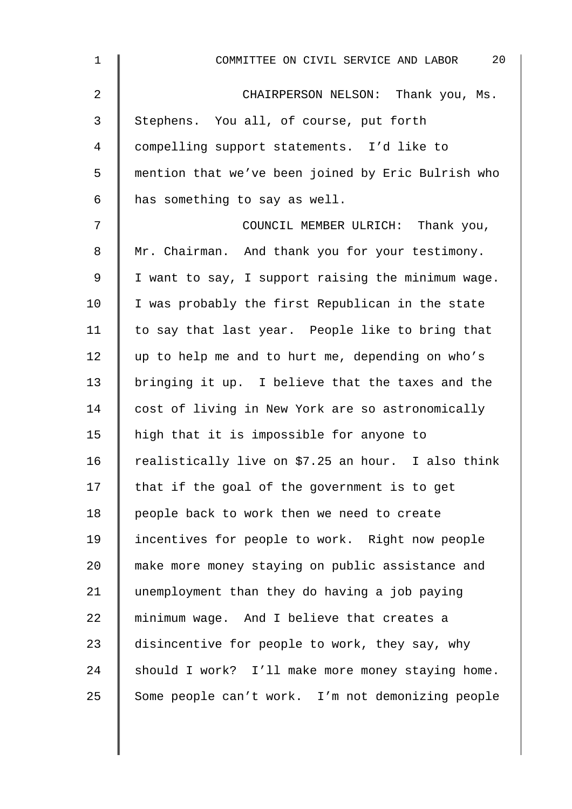| $\mathbf 1$ | 20<br>COMMITTEE ON CIVIL SERVICE AND LABOR         |
|-------------|----------------------------------------------------|
| 2           | CHAIRPERSON NELSON: Thank you, Ms.                 |
| 3           | Stephens. You all, of course, put forth            |
| 4           | compelling support statements. I'd like to         |
| 5           | mention that we've been joined by Eric Bulrish who |
| 6           | has something to say as well.                      |
| 7           | COUNCIL MEMBER ULRICH: Thank you,                  |
| 8           | Mr. Chairman. And thank you for your testimony.    |
| $\mathsf 9$ | I want to say, I support raising the minimum wage. |
| 10          | I was probably the first Republican in the state   |
| 11          | to say that last year. People like to bring that   |
| 12          | up to help me and to hurt me, depending on who's   |
| 13          | bringing it up. I believe that the taxes and the   |
| 14          | cost of living in New York are so astronomically   |
| 15          | high that it is impossible for anyone to           |
| 16          | realistically live on \$7.25 an hour. I also think |
| 17          | that if the goal of the government is to get       |
| 18          | people back to work then we need to create         |
| 19          | incentives for people to work. Right now people    |
| 20          | make more money staying on public assistance and   |
| 21          | unemployment than they do having a job paying      |
| 22          | minimum wage. And I believe that creates a         |
| 23          | disincentive for people to work, they say, why     |
| 24          | should I work? I'll make more money staying home.  |
| 25          | Some people can't work. I'm not demonizing people  |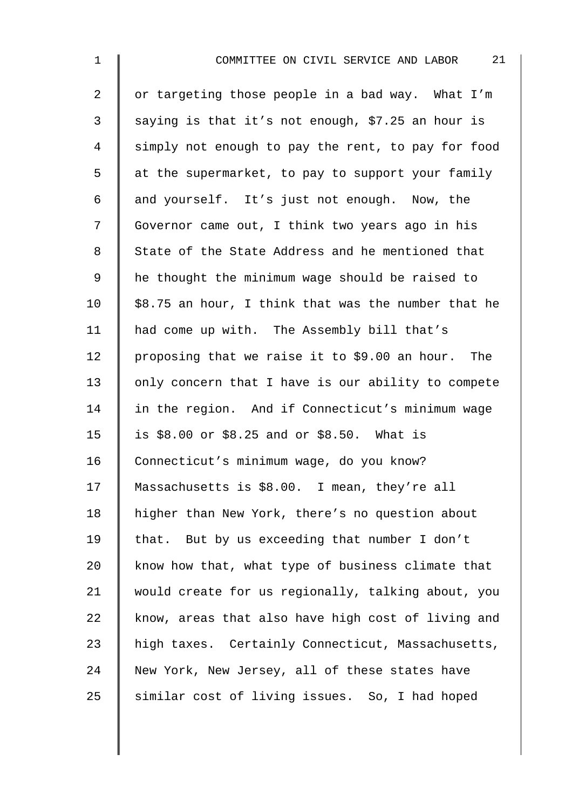| $\mathbf 1$    | 21<br>COMMITTEE ON CIVIL SERVICE AND LABOR          |
|----------------|-----------------------------------------------------|
| $\overline{a}$ | or targeting those people in a bad way. What I'm    |
| 3              | saying is that it's not enough, \$7.25 an hour is   |
| 4              | simply not enough to pay the rent, to pay for food  |
| 5              | at the supermarket, to pay to support your family   |
| 6              | and yourself. It's just not enough. Now, the        |
| 7              | Governor came out, I think two years ago in his     |
| 8              | State of the State Address and he mentioned that    |
| 9              | he thought the minimum wage should be raised to     |
| 10             | \$8.75 an hour, I think that was the number that he |
| 11             | had come up with. The Assembly bill that's          |
| 12             | proposing that we raise it to \$9.00 an hour. The   |
| 13             | only concern that I have is our ability to compete  |
| 14             | in the region. And if Connecticut's minimum wage    |
| 15             | is \$8.00 or \$8.25 and or \$8.50. What is          |
| 16             | Connecticut's minimum wage, do you know?            |
| 17             | Massachusetts is \$8.00. I mean, they're all        |
| 18             | higher than New York, there's no question about     |
| 19             | that. But by us exceeding that number I don't       |
| 20             | know how that, what type of business climate that   |
| 21             | would create for us regionally, talking about, you  |
| 22             | know, areas that also have high cost of living and  |
| 23             | high taxes. Certainly Connecticut, Massachusetts,   |
| 24             | New York, New Jersey, all of these states have      |
| 25             | similar cost of living issues. So, I had hoped      |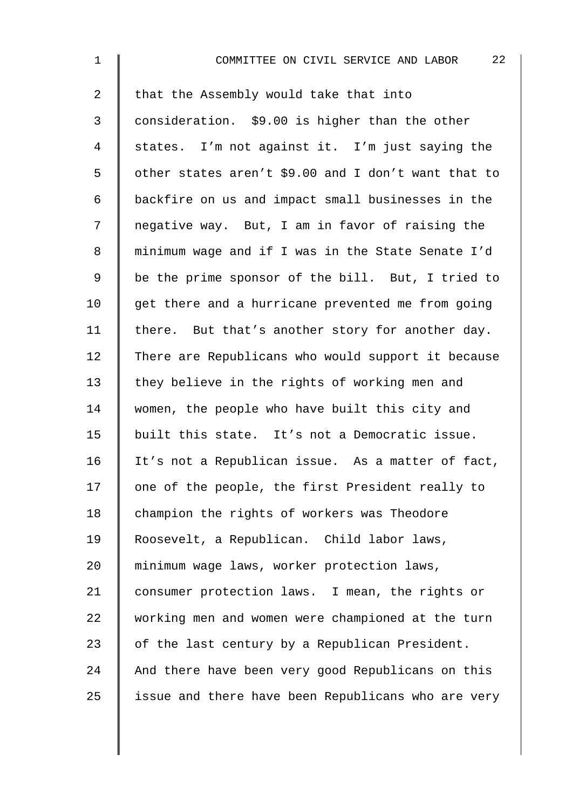| $\mathbf 1$    | 22<br>COMMITTEE ON CIVIL SERVICE AND LABOR          |
|----------------|-----------------------------------------------------|
| $\overline{2}$ | that the Assembly would take that into              |
| 3              | consideration. \$9.00 is higher than the other      |
| $\overline{4}$ | states. I'm not against it. I'm just saying the     |
| 5              | other states aren't \$9.00 and I don't want that to |
| 6              | backfire on us and impact small businesses in the   |
| 7              | negative way. But, I am in favor of raising the     |
| $\,8\,$        | minimum wage and if I was in the State Senate I'd   |
| $\mathsf 9$    | be the prime sponsor of the bill. But, I tried to   |
| 10             | get there and a hurricane prevented me from going   |
| 11             | there. But that's another story for another day.    |
| 12             | There are Republicans who would support it because  |
| 13             | they believe in the rights of working men and       |
| 14             | women, the people who have built this city and      |
| 15             | built this state. It's not a Democratic issue.      |
| 16             | It's not a Republican issue. As a matter of fact,   |
| 17             | one of the people, the first President really to    |
| 18             | champion the rights of workers was Theodore         |
| 19             | Roosevelt, a Republican. Child labor laws,          |
| 20             | minimum wage laws, worker protection laws,          |
| 21             | consumer protection laws. I mean, the rights or     |
| 22             | working men and women were championed at the turn   |
| 23             | of the last century by a Republican President.      |
| 24             | And there have been very good Republicans on this   |
| 25             | issue and there have been Republicans who are very  |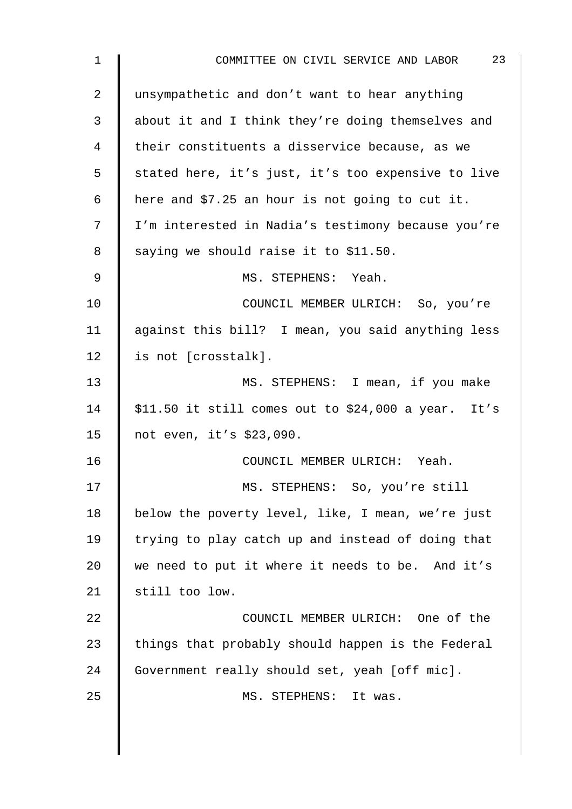| $\mathbf 1$ | 23<br>COMMITTEE ON CIVIL SERVICE AND LABOR            |
|-------------|-------------------------------------------------------|
| 2           | unsympathetic and don't want to hear anything         |
| 3           | about it and I think they're doing themselves and     |
| 4           | their constituents a disservice because, as we        |
| 5           | stated here, it's just, it's too expensive to live    |
| 6           | here and \$7.25 an hour is not going to cut it.       |
| 7           | I'm interested in Nadia's testimony because you're    |
| 8           | saying we should raise it to \$11.50.                 |
| 9           | MS. STEPHENS: Yeah.                                   |
| 10          | COUNCIL MEMBER ULRICH: So, you're                     |
| 11          | against this bill? I mean, you said anything less     |
| 12          | is not [crosstalk].                                   |
| 13          | MS. STEPHENS: I mean, if you make                     |
| 14          | $$11.50$ it still comes out to $$24,000$ a year. It's |
| 15          | not even, it's \$23,090.                              |
| 16          | COUNCIL MEMBER ULRICH: Yeah.                          |
| 17          | MS. STEPHENS: So, you're still                        |
| 18          | below the poverty level, like, I mean, we're just     |
| 19          | trying to play catch up and instead of doing that     |
| 20          | we need to put it where it needs to be. And it's      |
| 21          | still too low.                                        |
| 22          | COUNCIL MEMBER ULRICH: One of the                     |
| 23          | things that probably should happen is the Federal     |
| 24          | Government really should set, yeah [off mic].         |
| 25          | MS. STEPHENS: It was.                                 |
|             |                                                       |
|             |                                                       |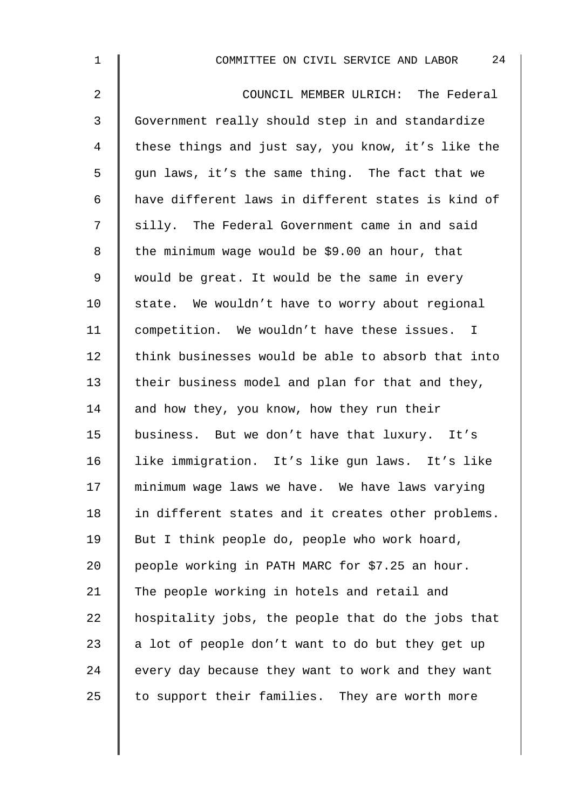| $\mathbf 1$    | 24<br>COMMITTEE ON CIVIL SERVICE AND LABOR         |
|----------------|----------------------------------------------------|
| 2              | COUNCIL MEMBER ULRICH: The Federal                 |
| $\mathfrak{Z}$ | Government really should step in and standardize   |
| 4              | these things and just say, you know, it's like the |
| 5              | gun laws, it's the same thing. The fact that we    |
| 6              | have different laws in different states is kind of |
| 7              | silly. The Federal Government came in and said     |
| 8              | the minimum wage would be \$9.00 an hour, that     |
| $\mathsf 9$    | would be great. It would be the same in every      |
| 10             | state. We wouldn't have to worry about regional    |
| 11             | competition. We wouldn't have these issues. I      |
| 12             | think businesses would be able to absorb that into |
| 13             | their business model and plan for that and they,   |
| 14             | and how they, you know, how they run their         |
| 15             | business. But we don't have that luxury. It's      |
| 16             | like immigration. It's like gun laws. It's like    |
| 17             | minimum wage laws we have. We have laws varying    |
| 18             | in different states and it creates other problems. |
| 19             | But I think people do, people who work hoard,      |
| 20             | people working in PATH MARC for \$7.25 an hour.    |
| 21             | The people working in hotels and retail and        |
| 22             | hospitality jobs, the people that do the jobs that |
| 23             | a lot of people don't want to do but they get up   |
| 24             | every day because they want to work and they want  |
| 25             | to support their families. They are worth more     |
|                |                                                    |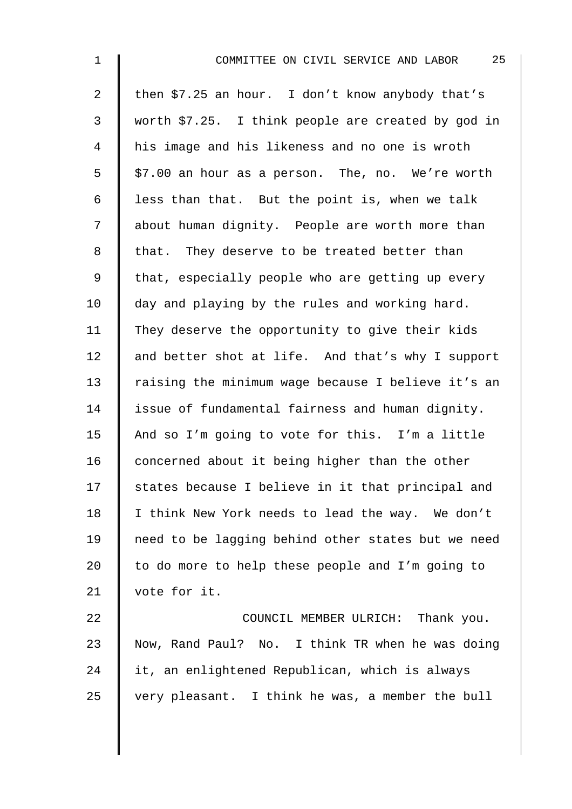| $\mathbf 1$    | 25<br>COMMITTEE ON CIVIL SERVICE AND LABOR         |
|----------------|----------------------------------------------------|
| $\overline{a}$ | then \$7.25 an hour. I don't know anybody that's   |
| 3              | worth \$7.25. I think people are created by god in |
| 4              | his image and his likeness and no one is wroth     |
| 5              | \$7.00 an hour as a person. The, no. We're worth   |
| 6              | less than that. But the point is, when we talk     |
| 7              | about human dignity. People are worth more than    |
| 8              | that. They deserve to be treated better than       |
| 9              | that, especially people who are getting up every   |
| 10             | day and playing by the rules and working hard.     |
| 11             | They deserve the opportunity to give their kids    |
| 12             | and better shot at life. And that's why I support  |
| 13             | raising the minimum wage because I believe it's an |
| 14             | issue of fundamental fairness and human dignity.   |
| 15             | And so I'm going to vote for this. I'm a little    |
| 16             | concerned about it being higher than the other     |
| 17             | states because I believe in it that principal and  |
| 18             | I think New York needs to lead the way. We don't   |
| 19             | need to be lagging behind other states but we need |
| 20             | to do more to help these people and I'm going to   |
| 21             | vote for it.                                       |
| 22             | COUNCIL MEMBER ULRICH: Thank you.                  |
| 23             | Now, Rand Paul? No. I think TR when he was doing   |
| 24             | it, an enlightened Republican, which is always     |
| 25             | very pleasant. I think he was, a member the bull   |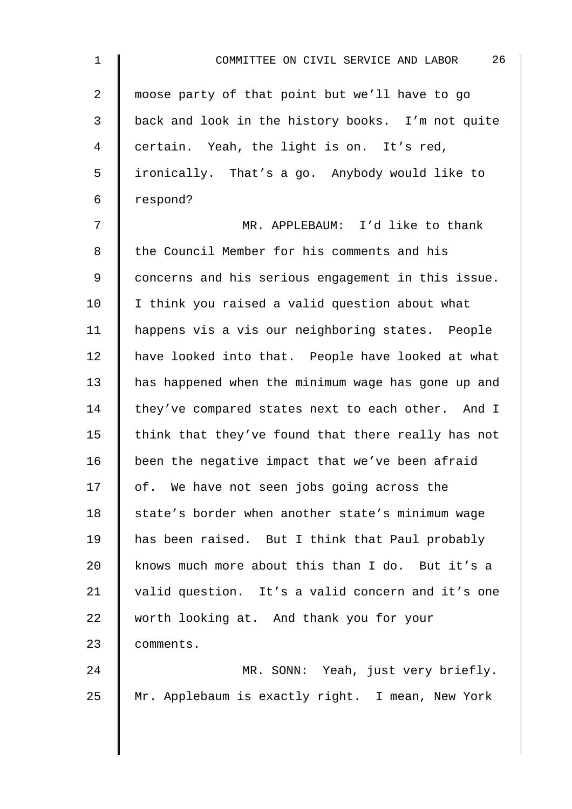| $\mathbf 1$    | 26<br>COMMITTEE ON CIVIL SERVICE AND LABOR         |
|----------------|----------------------------------------------------|
| $\overline{a}$ | moose party of that point but we'll have to go     |
| 3              | back and look in the history books. I'm not quite  |
| 4              | certain. Yeah, the light is on. It's red,          |
| 5              | ironically. That's a go. Anybody would like to     |
| 6              | respond?                                           |
| 7              | MR. APPLEBAUM: I'd like to thank                   |
| 8              | the Council Member for his comments and his        |
| $\mathsf 9$    | concerns and his serious engagement in this issue. |
| 10             | I think you raised a valid question about what     |
| 11             | happens vis a vis our neighboring states. People   |
| 12             | have looked into that. People have looked at what  |
| 13             | has happened when the minimum wage has gone up and |
| 14             | they've compared states next to each other. And I  |
| 15             | think that they've found that there really has not |
| 16             | been the negative impact that we've been afraid    |
| 17             | of. We have not seen jobs going across the         |
| 18             | state's border when another state's minimum wage   |
| 19             | has been raised. But I think that Paul probably    |
| 20             | knows much more about this than I do. But it's a   |
| 21             | valid question. It's a valid concern and it's one  |
| 22             | worth looking at. And thank you for your           |
| 23             | comments.                                          |
| 24             | MR. SONN: Yeah, just very briefly.                 |
| 25             | Mr. Applebaum is exactly right. I mean, New York   |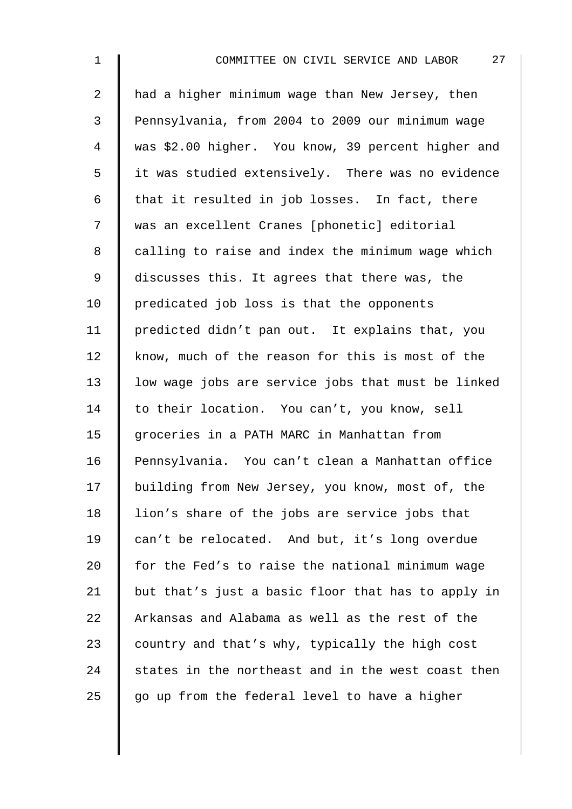| $\mathbf 1$    | 27<br>COMMITTEE ON CIVIL SERVICE AND LABOR         |
|----------------|----------------------------------------------------|
| $\overline{a}$ | had a higher minimum wage than New Jersey, then    |
| 3              | Pennsylvania, from 2004 to 2009 our minimum wage   |
| $\overline{4}$ | was \$2.00 higher. You know, 39 percent higher and |
| 5              | it was studied extensively. There was no evidence  |
| 6              | that it resulted in job losses. In fact, there     |
| 7              | was an excellent Cranes [phonetic] editorial       |
| 8              | calling to raise and index the minimum wage which  |
| $\mathsf 9$    | discusses this. It agrees that there was, the      |
| 10             | predicated job loss is that the opponents          |
| 11             | predicted didn't pan out. It explains that, you    |
| 12             | know, much of the reason for this is most of the   |
| 13             | low wage jobs are service jobs that must be linked |
| 14             | to their location. You can't, you know, sell       |
| 15             | groceries in a PATH MARC in Manhattan from         |
| 16             | Pennsylvania. You can't clean a Manhattan office   |
| 17             | building from New Jersey, you know, most of, the   |
| 18             | lion's share of the jobs are service jobs that     |
| 19             | can't be relocated. And but, it's long overdue     |
| 20             | for the Fed's to raise the national minimum wage   |
| 21             | but that's just a basic floor that has to apply in |
| 22             | Arkansas and Alabama as well as the rest of the    |
| 23             | country and that's why, typically the high cost    |
| 24             | states in the northeast and in the west coast then |
| 25             | go up from the federal level to have a higher      |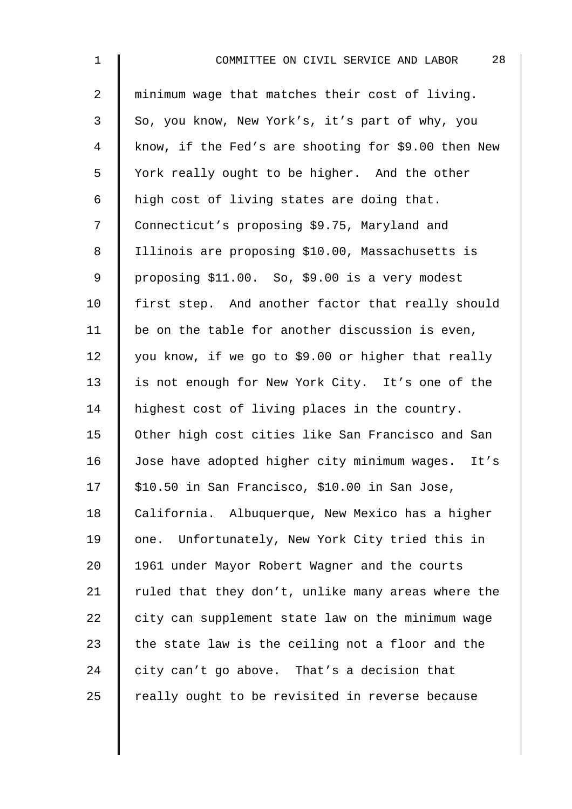| $\mathbf 1$    | 28<br>COMMITTEE ON CIVIL SERVICE AND LABOR           |
|----------------|------------------------------------------------------|
| $\overline{2}$ | minimum wage that matches their cost of living.      |
| 3              | So, you know, New York's, it's part of why, you      |
| 4              | know, if the Fed's are shooting for \$9.00 then New  |
| 5              | York really ought to be higher. And the other        |
| 6              | high cost of living states are doing that.           |
| 7              | Connecticut's proposing \$9.75, Maryland and         |
| $\,8\,$        | Illinois are proposing \$10.00, Massachusetts is     |
| 9              | proposing \$11.00. So, \$9.00 is a very modest       |
| 10             | first step. And another factor that really should    |
| 11             | be on the table for another discussion is even,      |
| 12             | you know, if we go to \$9.00 or higher that really   |
| 13             | is not enough for New York City. It's one of the     |
| 14             | highest cost of living places in the country.        |
| 15             | Other high cost cities like San Francisco and San    |
| 16             | Jose have adopted higher city minimum wages.<br>It's |
| 17             | \$10.50 in San Francisco, \$10.00 in San Jose,       |
| 18             | California. Albuquerque, New Mexico has a higher     |
| 19             | one. Unfortunately, New York City tried this in      |
| 20             | 1961 under Mayor Robert Wagner and the courts        |
| 21             | ruled that they don't, unlike many areas where the   |
| 22             | city can supplement state law on the minimum wage    |
| 23             | the state law is the ceiling not a floor and the     |
| 24             | city can't go above. That's a decision that          |
| 25             | really ought to be revisited in reverse because      |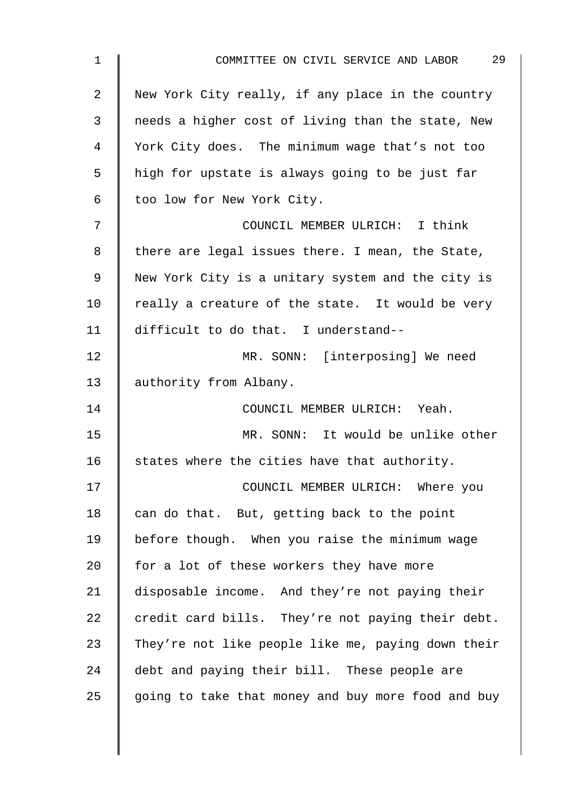| 1  | 29<br>COMMITTEE ON CIVIL SERVICE AND LABOR         |
|----|----------------------------------------------------|
| 2  | New York City really, if any place in the country  |
| 3  | needs a higher cost of living than the state, New  |
| 4  | York City does. The minimum wage that's not too    |
| 5  | high for upstate is always going to be just far    |
| 6  | too low for New York City.                         |
| 7  | COUNCIL MEMBER ULRICH: I think                     |
| 8  | there are legal issues there. I mean, the State,   |
| 9  | New York City is a unitary system and the city is  |
| 10 | really a creature of the state. It would be very   |
| 11 | difficult to do that. I understand--               |
| 12 | MR. SONN: [interposing] We need                    |
| 13 | authority from Albany.                             |
| 14 | COUNCIL MEMBER ULRICH: Yeah.                       |
| 15 | MR. SONN: It would be unlike other                 |
| 16 | states where the cities have that authority.       |
| 17 | COUNCIL MEMBER ULRICH: Where you                   |
| 18 | can do that. But, getting back to the point        |
| 19 | before though. When you raise the minimum wage     |
| 20 | for a lot of these workers they have more          |
| 21 | disposable income. And they're not paying their    |
| 22 | credit card bills. They're not paying their debt.  |
| 23 | They're not like people like me, paying down their |
| 24 | debt and paying their bill. These people are       |
| 25 | going to take that money and buy more food and buy |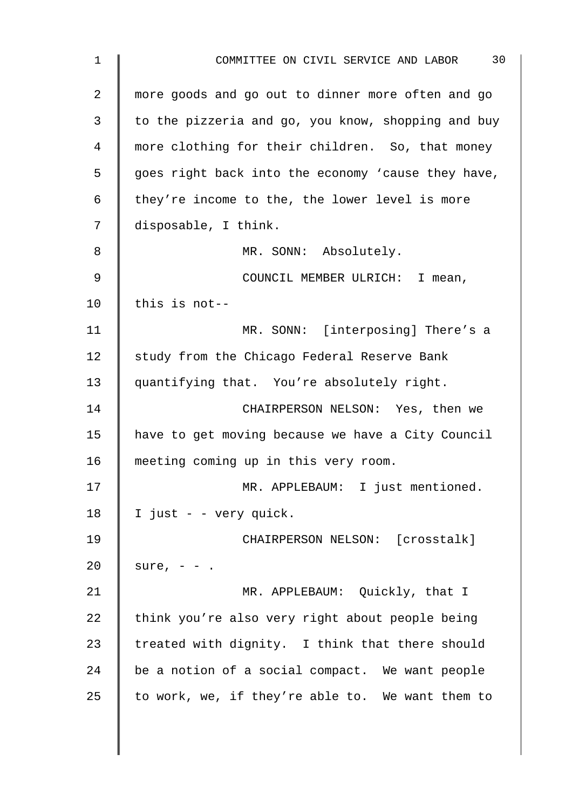| 1              | 30<br>COMMITTEE ON CIVIL SERVICE AND LABOR         |
|----------------|----------------------------------------------------|
| $\overline{2}$ | more goods and go out to dinner more often and go  |
| 3              | to the pizzeria and go, you know, shopping and buy |
| 4              | more clothing for their children. So, that money   |
| 5              | goes right back into the economy 'cause they have, |
| 6              | they're income to the, the lower level is more     |
| 7              | disposable, I think.                               |
| 8              | MR. SONN: Absolutely.                              |
| $\mathsf 9$    | COUNCIL MEMBER ULRICH: I mean,                     |
| 10             | this is not--                                      |
| 11             | MR. SONN: [interposing] There's a                  |
| 12             | study from the Chicago Federal Reserve Bank        |
| 13             | quantifying that. You're absolutely right.         |
| 14             | CHAIRPERSON NELSON: Yes, then we                   |
| 15             | have to get moving because we have a City Council  |
| 16             | meeting coming up in this very room.               |
| 17             | MR. APPLEBAUM: I just mentioned.                   |
| 18             | I just - - very quick.                             |
| 19             | CHAIRPERSON NELSON: [crosstalk]                    |
| 20             | sure, $- -$ .                                      |
| 21             | MR. APPLEBAUM: Quickly, that I                     |
| 22             | think you're also very right about people being    |
| 23             | treated with dignity. I think that there should    |
| 24             | be a notion of a social compact. We want people    |
| 25             | to work, we, if they're able to. We want them to   |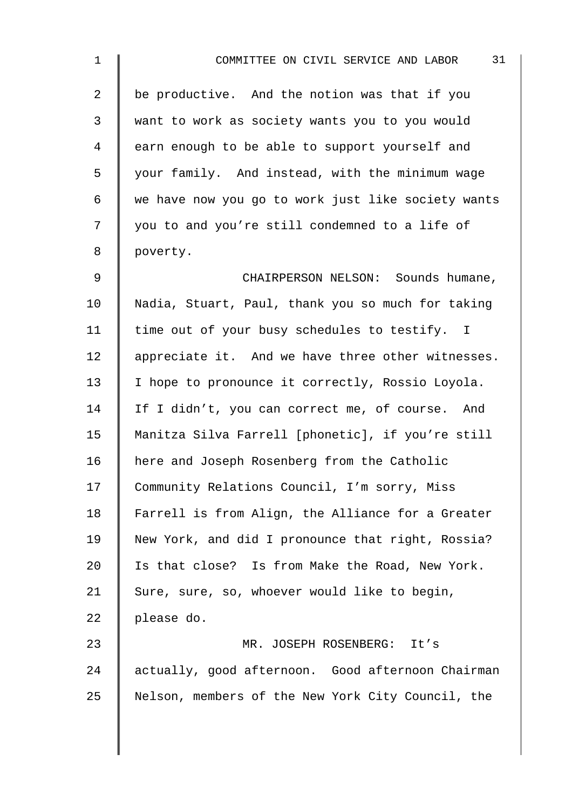| $\mathbf 1$    | 31<br>COMMITTEE ON CIVIL SERVICE AND LABOR         |
|----------------|----------------------------------------------------|
| $\overline{a}$ | be productive. And the notion was that if you      |
| 3              | want to work as society wants you to you would     |
| 4              | earn enough to be able to support yourself and     |
| 5              | your family. And instead, with the minimum wage    |
| 6              | we have now you go to work just like society wants |
| 7              | you to and you're still condemned to a life of     |
| 8              | poverty.                                           |
| $\mathsf 9$    | CHAIRPERSON NELSON: Sounds humane,                 |
| 10             | Nadia, Stuart, Paul, thank you so much for taking  |
| 11             | time out of your busy schedules to testify. I      |
| 12             | appreciate it. And we have three other witnesses.  |
| 13             | I hope to pronounce it correctly, Rossio Loyola.   |
| 14             | If I didn't, you can correct me, of course. And    |
| 15             | Manitza Silva Farrell [phonetic], if you're still  |
| 16             | here and Joseph Rosenberg from the Catholic        |
| 17             | Community Relations Council, I'm sorry, Miss       |
| 18             | Farrell is from Align, the Alliance for a Greater  |
| 19             | New York, and did I pronounce that right, Rossia?  |
| 20             | Is that close? Is from Make the Road, New York.    |
| 21             | Sure, sure, so, whoever would like to begin,       |
| 22             | please do.                                         |
| 23             | MR. JOSEPH ROSENBERG:<br>It's                      |
| 24             | actually, good afternoon. Good afternoon Chairman  |
| 25             | Nelson, members of the New York City Council, the  |
|                |                                                    |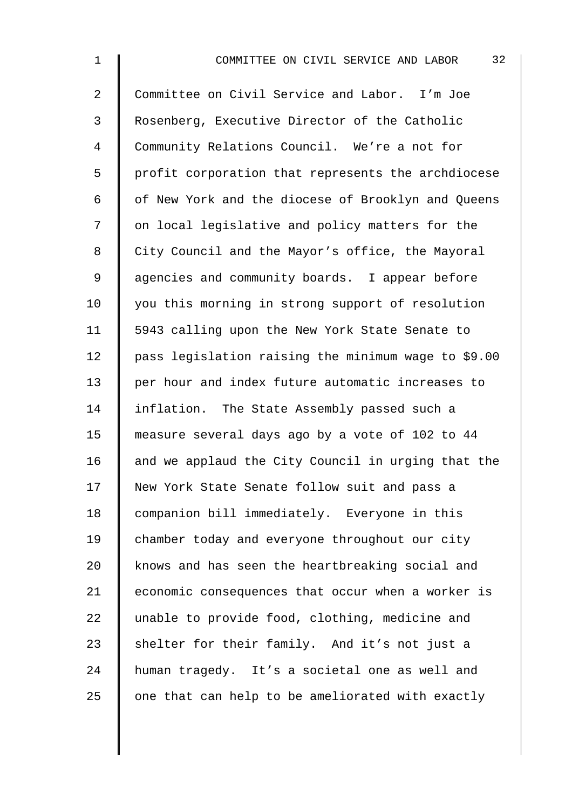| $\mathbf{1}$   | 32<br>COMMITTEE ON CIVIL SERVICE AND LABOR          |
|----------------|-----------------------------------------------------|
| $\overline{2}$ | Committee on Civil Service and Labor. I'm Joe       |
| 3              | Rosenberg, Executive Director of the Catholic       |
| 4              | Community Relations Council. We're a not for        |
| 5              | profit corporation that represents the archdiocese  |
| 6              | of New York and the diocese of Brooklyn and Queens  |
| 7              | on local legislative and policy matters for the     |
| 8              | City Council and the Mayor's office, the Mayoral    |
| 9              | agencies and community boards. I appear before      |
| 10             | you this morning in strong support of resolution    |
| 11             | 5943 calling upon the New York State Senate to      |
| 12             | pass legislation raising the minimum wage to \$9.00 |
| 13             | per hour and index future automatic increases to    |
| 14             | inflation. The State Assembly passed such a         |
| 15             | measure several days ago by a vote of 102 to 44     |
| 16             | and we applaud the City Council in urging that the  |
| 17             | New York State Senate follow suit and pass a        |
| 18             | companion bill immediately. Everyone in this        |
| 19             | chamber today and everyone throughout our city      |
| 20             | knows and has seen the heartbreaking social and     |
| 21             | economic consequences that occur when a worker is   |
| 22             | unable to provide food, clothing, medicine and      |
| 23             | shelter for their family. And it's not just a       |
| 24             | human tragedy. It's a societal one as well and      |
| 25             | one that can help to be ameliorated with exactly    |
|                |                                                     |
|                |                                                     |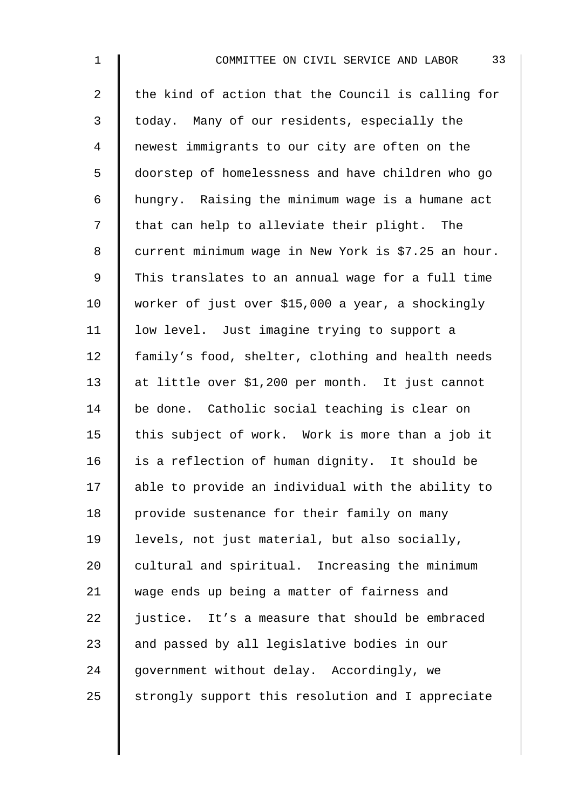| $\mathbf 1$    | 33<br>COMMITTEE ON CIVIL SERVICE AND LABOR          |
|----------------|-----------------------------------------------------|
| $\overline{2}$ | the kind of action that the Council is calling for  |
| 3              | today. Many of our residents, especially the        |
| 4              | newest immigrants to our city are often on the      |
| 5              | doorstep of homelessness and have children who go   |
| 6              | hungry. Raising the minimum wage is a humane act    |
| 7              | that can help to alleviate their plight. The        |
| 8              | current minimum wage in New York is \$7.25 an hour. |
| $\mathsf 9$    | This translates to an annual wage for a full time   |
| 10             | worker of just over \$15,000 a year, a shockingly   |
| 11             | low level. Just imagine trying to support a         |
| 12             | family's food, shelter, clothing and health needs   |
| 13             | at little over \$1,200 per month. It just cannot    |
| 14             | be done. Catholic social teaching is clear on       |
| 15             | this subject of work. Work is more than a job it    |
| 16             | is a reflection of human dignity. It should be      |
| 17             | able to provide an individual with the ability to   |
| 18             | provide sustenance for their family on many         |
| 19             | levels, not just material, but also socially,       |
| 20             | cultural and spiritual. Increasing the minimum      |
| 21             | wage ends up being a matter of fairness and         |
| 22             | justice. It's a measure that should be embraced     |
| 23             | and passed by all legislative bodies in our         |
| 24             | government without delay. Accordingly, we           |
| 25             | strongly support this resolution and I appreciate   |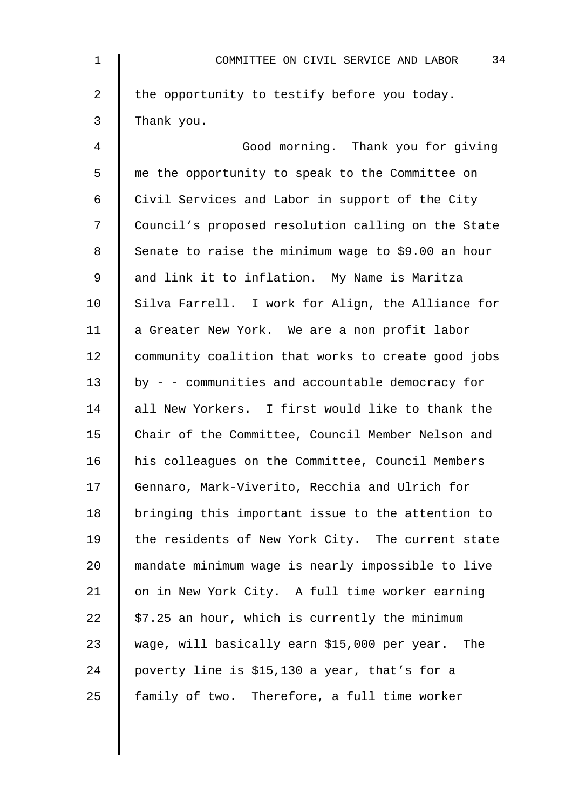| $\mathbf{1}$ | 34<br>COMMITTEE ON CIVIL SERVICE AND LABOR         |
|--------------|----------------------------------------------------|
| 2            | the opportunity to testify before you today.       |
| 3            | Thank you.                                         |
| 4            | Good morning. Thank you for giving                 |
| 5            | me the opportunity to speak to the Committee on    |
| 6            | Civil Services and Labor in support of the City    |
| 7            | Council's proposed resolution calling on the State |
| 8            | Senate to raise the minimum wage to \$9.00 an hour |
| 9            | and link it to inflation. My Name is Maritza       |
| 10           | Silva Farrell. I work for Align, the Alliance for  |
| 11           | a Greater New York. We are a non profit labor      |
| 12           | community coalition that works to create good jobs |
| 13           | by - - communities and accountable democracy for   |
| 14           | all New Yorkers. I first would like to thank the   |
| 15           | Chair of the Committee, Council Member Nelson and  |
| 16           | his colleagues on the Committee, Council Members   |
| 17           | Gennaro, Mark-Viverito, Recchia and Ulrich for     |
| 18           | bringing this important issue to the attention to  |
| 19           | the residents of New York City. The current state  |
| 20           | mandate minimum wage is nearly impossible to live  |
| 21           | on in New York City. A full time worker earning    |
| 22           | \$7.25 an hour, which is currently the minimum     |
| 23           | wage, will basically earn \$15,000 per year. The   |
| 24           | poverty line is \$15,130 a year, that's for a      |
| 25           | family of two. Therefore, a full time worker       |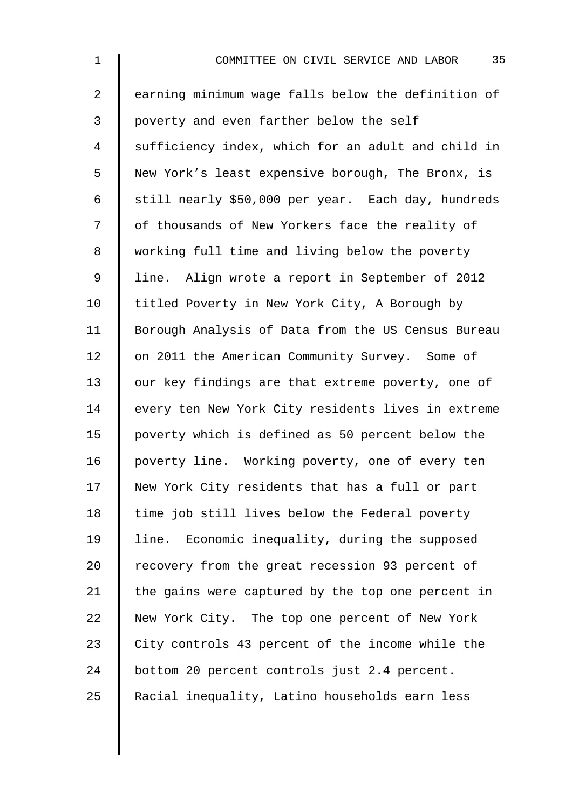| $\mathbf 1$    | 35<br>COMMITTEE ON CIVIL SERVICE AND LABOR         |
|----------------|----------------------------------------------------|
| $\overline{2}$ | earning minimum wage falls below the definition of |
| 3              | poverty and even farther below the self            |
| 4              | sufficiency index, which for an adult and child in |
| 5              | New York's least expensive borough, The Bronx, is  |
| 6              | still nearly \$50,000 per year. Each day, hundreds |
| 7              | of thousands of New Yorkers face the reality of    |
| 8              | working full time and living below the poverty     |
| 9              | line. Align wrote a report in September of 2012    |
| 10             | titled Poverty in New York City, A Borough by      |
| 11             | Borough Analysis of Data from the US Census Bureau |
| 12             | on 2011 the American Community Survey. Some of     |
| 13             | our key findings are that extreme poverty, one of  |
| 14             | every ten New York City residents lives in extreme |
| 15             | poverty which is defined as 50 percent below the   |
| 16             | poverty line. Working poverty, one of every ten    |
| 17             | New York City residents that has a full or part    |
| 18             | time job still lives below the Federal poverty     |
| 19             | line. Economic inequality, during the supposed     |
| 20             | recovery from the great recession 93 percent of    |
| 21             | the gains were captured by the top one percent in  |
| 22             | New York City. The top one percent of New York     |
| 23             | City controls 43 percent of the income while the   |
| 24             | bottom 20 percent controls just 2.4 percent.       |
| 25             | Racial inequality, Latino households earn less     |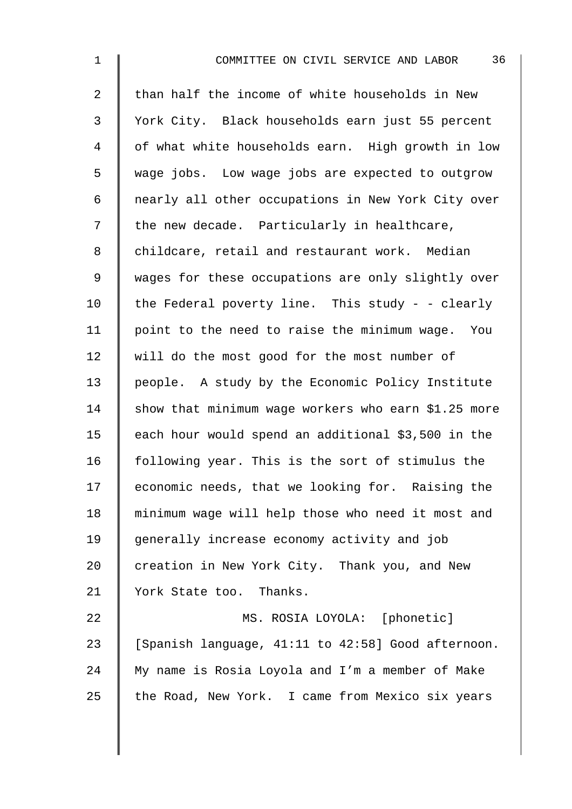| $\mathbf 1$    | 36<br>COMMITTEE ON CIVIL SERVICE AND LABOR          |
|----------------|-----------------------------------------------------|
| $\overline{2}$ | than half the income of white households in New     |
| 3              | York City. Black households earn just 55 percent    |
| 4              | of what white households earn. High growth in low   |
| 5              | wage jobs. Low wage jobs are expected to outgrow    |
| 6              | nearly all other occupations in New York City over  |
| 7              | the new decade. Particularly in healthcare,         |
| 8              | childcare, retail and restaurant work. Median       |
| $\mathsf 9$    | wages for these occupations are only slightly over  |
| 10             | the Federal poverty line. This study - - clearly    |
| 11             | point to the need to raise the minimum wage. You    |
| 12             | will do the most good for the most number of        |
| 13             | people. A study by the Economic Policy Institute    |
| 14             | show that minimum wage workers who earn \$1.25 more |
| 15             | each hour would spend an additional \$3,500 in the  |
| 16             | following year. This is the sort of stimulus the    |
| 17             | economic needs, that we looking for. Raising the    |
| 18             | minimum wage will help those who need it most and   |
| 19             | generally increase economy activity and job         |
| 20             | creation in New York City. Thank you, and New       |
| 21             | York State too. Thanks.                             |
| 22             | MS. ROSIA LOYOLA: [phonetic]                        |
| 23             | [Spanish language, 41:11 to 42:58] Good afternoon.  |
| 24             | My name is Rosia Loyola and I'm a member of Make    |
| 25             | the Road, New York. I came from Mexico six years    |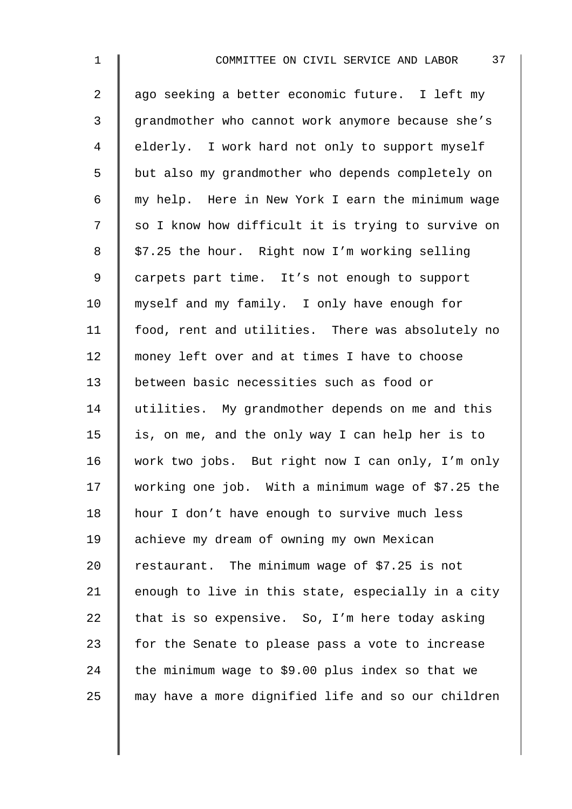| $\mathbf 1$    | 37<br>COMMITTEE ON CIVIL SERVICE AND LABOR         |
|----------------|----------------------------------------------------|
| $\overline{2}$ | ago seeking a better economic future. I left my    |
| $\mathfrak{Z}$ | grandmother who cannot work anymore because she's  |
| 4              | elderly. I work hard not only to support myself    |
| 5              | but also my grandmother who depends completely on  |
| 6              | my help. Here in New York I earn the minimum wage  |
| 7              | so I know how difficult it is trying to survive on |
| 8              | \$7.25 the hour. Right now I'm working selling     |
| 9              | carpets part time. It's not enough to support      |
| 10             | myself and my family. I only have enough for       |
| 11             | food, rent and utilities. There was absolutely no  |
| 12             | money left over and at times I have to choose      |
| 13             | between basic necessities such as food or          |
| 14             | utilities. My grandmother depends on me and this   |
| 15             | is, on me, and the only way I can help her is to   |
| 16             | work two jobs. But right now I can only, I'm only  |
| 17             | working one job. With a minimum wage of \$7.25 the |
| 18             | hour I don't have enough to survive much less      |
| 19             | achieve my dream of owning my own Mexican          |
| 20             | restaurant. The minimum wage of \$7.25 is not      |
| 21             | enough to live in this state, especially in a city |
| 22             | that is so expensive. So, I'm here today asking    |
| 23             | for the Senate to please pass a vote to increase   |
| 24             | the minimum wage to \$9.00 plus index so that we   |
| 25             | may have a more dignified life and so our children |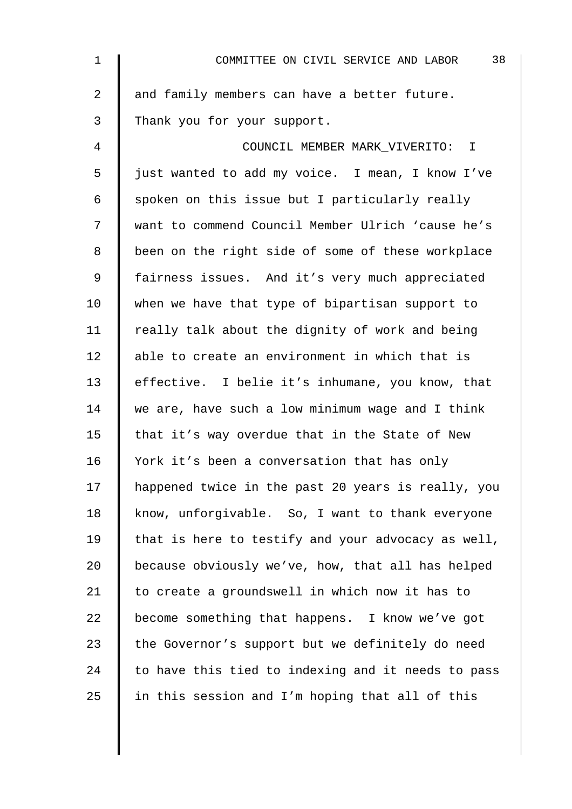| $\mathbf 1$    | 38<br>COMMITTEE ON CIVIL SERVICE AND LABOR         |
|----------------|----------------------------------------------------|
| $\overline{2}$ | and family members can have a better future.       |
| 3              | Thank you for your support.                        |
| 4              | COUNCIL MEMBER MARK VIVERITO: I                    |
| 5              | just wanted to add my voice. I mean, I know I've   |
| 6              | spoken on this issue but I particularly really     |
| 7              | want to commend Council Member Ulrich 'cause he's  |
| 8              | been on the right side of some of these workplace  |
| 9              | fairness issues. And it's very much appreciated    |
| 10             | when we have that type of bipartisan support to    |
| 11             | really talk about the dignity of work and being    |
| 12             | able to create an environment in which that is     |
| 13             | effective. I belie it's inhumane, you know, that   |
| 14             | we are, have such a low minimum wage and I think   |
| 15             | that it's way overdue that in the State of New     |
| 16             | York it's been a conversation that has only        |
| 17             | happened twice in the past 20 years is really, you |
| 18             | know, unforgivable. So, I want to thank everyone   |
| 19             | that is here to testify and your advocacy as well, |
| 20             | because obviously we've, how, that all has helped  |
| 21             | to create a groundswell in which now it has to     |
| 22             | become something that happens. I know we've got    |
| 23             | the Governor's support but we definitely do need   |
| 24             | to have this tied to indexing and it needs to pass |
| 25             | in this session and I'm hoping that all of this    |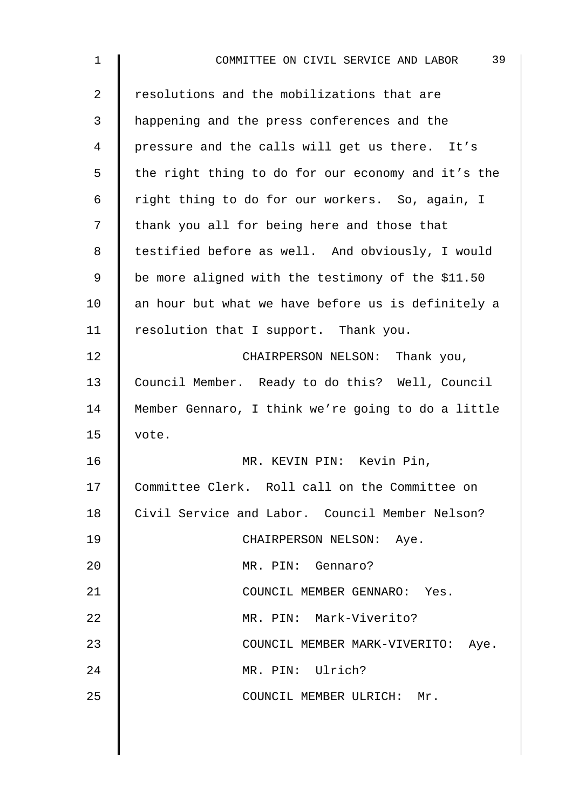| $\mathbf 1$    | 39<br>COMMITTEE ON CIVIL SERVICE AND LABOR         |
|----------------|----------------------------------------------------|
| $\overline{2}$ | resolutions and the mobilizations that are         |
| 3              | happening and the press conferences and the        |
| 4              | pressure and the calls will get us there. It's     |
| 5              | the right thing to do for our economy and it's the |
| 6              | right thing to do for our workers. So, again, I    |
| 7              | thank you all for being here and those that        |
| 8              | testified before as well. And obviously, I would   |
| 9              | be more aligned with the testimony of the \$11.50  |
| 10             | an hour but what we have before us is definitely a |
| 11             | resolution that I support. Thank you.              |
| 12             | CHAIRPERSON NELSON: Thank you,                     |
| 13             | Council Member. Ready to do this? Well, Council    |
| 14             | Member Gennaro, I think we're going to do a little |
| 15             | vote.                                              |
| 16             | MR. KEVIN PIN: Kevin Pin,                          |
| 17             | Committee Clerk. Roll call on the Committee on     |
| 18             | Civil Service and Labor. Council Member Nelson?    |
| 19             | CHAIRPERSON NELSON: Aye.                           |
| 20             | MR. PIN: Gennaro?                                  |
| 21             | COUNCIL MEMBER GENNARO: Yes.                       |
| 22             | MR. PIN: Mark-Viverito?                            |
| 23             | COUNCIL MEMBER MARK-VIVERITO:<br>Aye.              |
| 24             | MR. PIN: Ulrich?                                   |
| 25             | COUNCIL MEMBER ULRICH: Mr.                         |
|                |                                                    |

 $\overline{\phantom{a}}$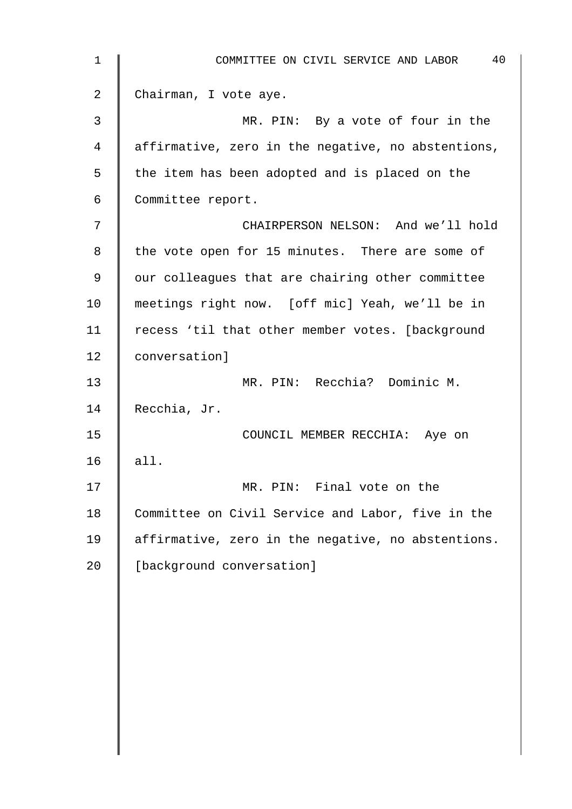| $\mathbf 1$ | 40<br>COMMITTEE ON CIVIL SERVICE AND LABOR         |
|-------------|----------------------------------------------------|
| 2           | Chairman, I vote aye.                              |
| 3           | MR. PIN: By a vote of four in the                  |
| 4           | affirmative, zero in the negative, no abstentions, |
| 5           | the item has been adopted and is placed on the     |
| 6           | Committee report.                                  |
| 7           | CHAIRPERSON NELSON: And we'll hold                 |
| 8           | the vote open for 15 minutes. There are some of    |
| 9           | our colleagues that are chairing other committee   |
| 10          | meetings right now. [off mic] Yeah, we'll be in    |
| 11          | recess 'til that other member votes. [background   |
| 12          | conversation]                                      |
| 13          | MR. PIN: Recchia? Dominic M.                       |
| 14          | Recchia, Jr.                                       |
| 15          | COUNCIL MEMBER RECCHIA: Aye on                     |
| 16          | all.                                               |
| 17          | MR. PIN: Final vote on the                         |
| 18          | Committee on Civil Service and Labor, five in the  |
| 19          | affirmative, zero in the negative, no abstentions. |
| 20          | [background conversation]                          |
|             |                                                    |
|             |                                                    |
|             |                                                    |
|             |                                                    |
|             |                                                    |
|             |                                                    |
|             |                                                    |